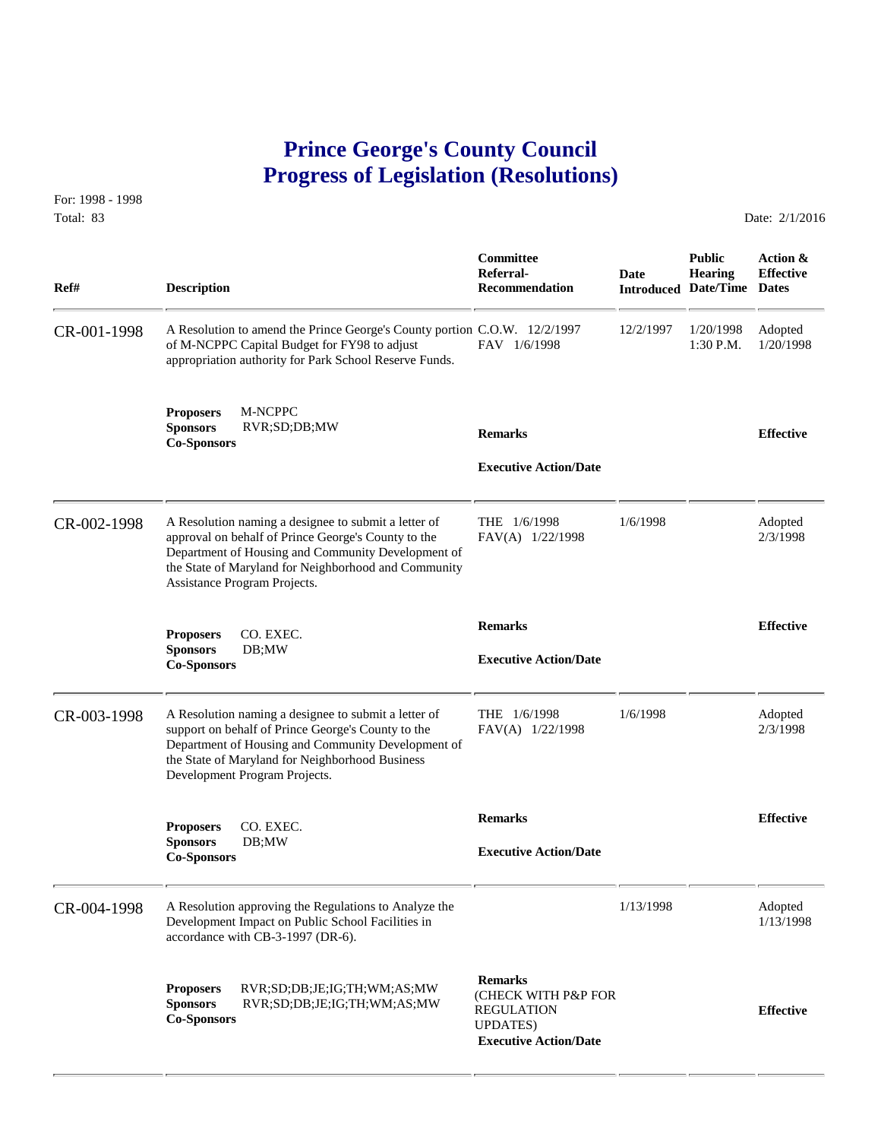## **Prince George's County Council Progress of Legislation (Resolutions)**

For: 1998 - 1998 Total: 83 Date: 2/1/2016

| Ref#        | <b>Description</b>                                                                                                                                                                                                                                        | <b>Committee</b><br>Referral-<br><b>Recommendation</b>                                                         | Date      | <b>Public</b><br><b>Hearing</b><br><b>Introduced Date/Time</b> | Action &<br><b>Effective</b><br><b>Dates</b> |
|-------------|-----------------------------------------------------------------------------------------------------------------------------------------------------------------------------------------------------------------------------------------------------------|----------------------------------------------------------------------------------------------------------------|-----------|----------------------------------------------------------------|----------------------------------------------|
| CR-001-1998 | A Resolution to amend the Prince George's County portion C.O.W. 12/2/1997<br>of M-NCPPC Capital Budget for FY98 to adjust<br>appropriation authority for Park School Reserve Funds.                                                                       | FAV 1/6/1998                                                                                                   | 12/2/1997 | 1/20/1998<br>1:30 P.M.                                         | Adopted<br>1/20/1998                         |
|             | M-NCPPC<br><b>Proposers</b><br><b>Sponsors</b><br>RVR;SD;DB;MW<br><b>Co-Sponsors</b>                                                                                                                                                                      | <b>Remarks</b><br><b>Executive Action/Date</b>                                                                 |           |                                                                | <b>Effective</b>                             |
| CR-002-1998 | A Resolution naming a designee to submit a letter of<br>approval on behalf of Prince George's County to the<br>Department of Housing and Community Development of<br>the State of Maryland for Neighborhood and Community<br>Assistance Program Projects. | THE $1/6/1998$<br>FAV(A) 1/22/1998                                                                             | 1/6/1998  |                                                                | Adopted<br>2/3/1998                          |
|             | CO. EXEC.<br><b>Proposers</b><br><b>Sponsors</b><br>DB;MW<br><b>Co-Sponsors</b>                                                                                                                                                                           | <b>Remarks</b><br><b>Executive Action/Date</b>                                                                 |           |                                                                | <b>Effective</b>                             |
| CR-003-1998 | A Resolution naming a designee to submit a letter of<br>support on behalf of Prince George's County to the<br>Department of Housing and Community Development of<br>the State of Maryland for Neighborhood Business<br>Development Program Projects.      | THE 1/6/1998<br>FAV(A) 1/22/1998                                                                               | 1/6/1998  |                                                                | Adopted<br>2/3/1998                          |
|             | <b>Proposers</b><br>CO. EXEC.<br><b>Sponsors</b><br>DB;MW<br><b>Co-Sponsors</b>                                                                                                                                                                           | <b>Remarks</b><br><b>Executive Action/Date</b>                                                                 |           |                                                                | <b>Effective</b>                             |
| CR-004-1998 | A Resolution approving the Regulations to Analyze the<br>Development Impact on Public School Facilities in<br>accordance with CB-3-1997 (DR-6).                                                                                                           |                                                                                                                | 1/13/1998 |                                                                | Adopted<br>1/13/1998                         |
|             | RVR;SD;DB;JE;IG;TH;WM;AS;MW<br><b>Proposers</b><br><b>Sponsors</b><br>RVR;SD;DB;JE;IG;TH;WM;AS;MW<br><b>Co-Sponsors</b>                                                                                                                                   | <b>Remarks</b><br>(CHECK WITH P&P FOR<br><b>REGULATION</b><br><b>UPDATES</b> )<br><b>Executive Action/Date</b> |           |                                                                | <b>Effective</b>                             |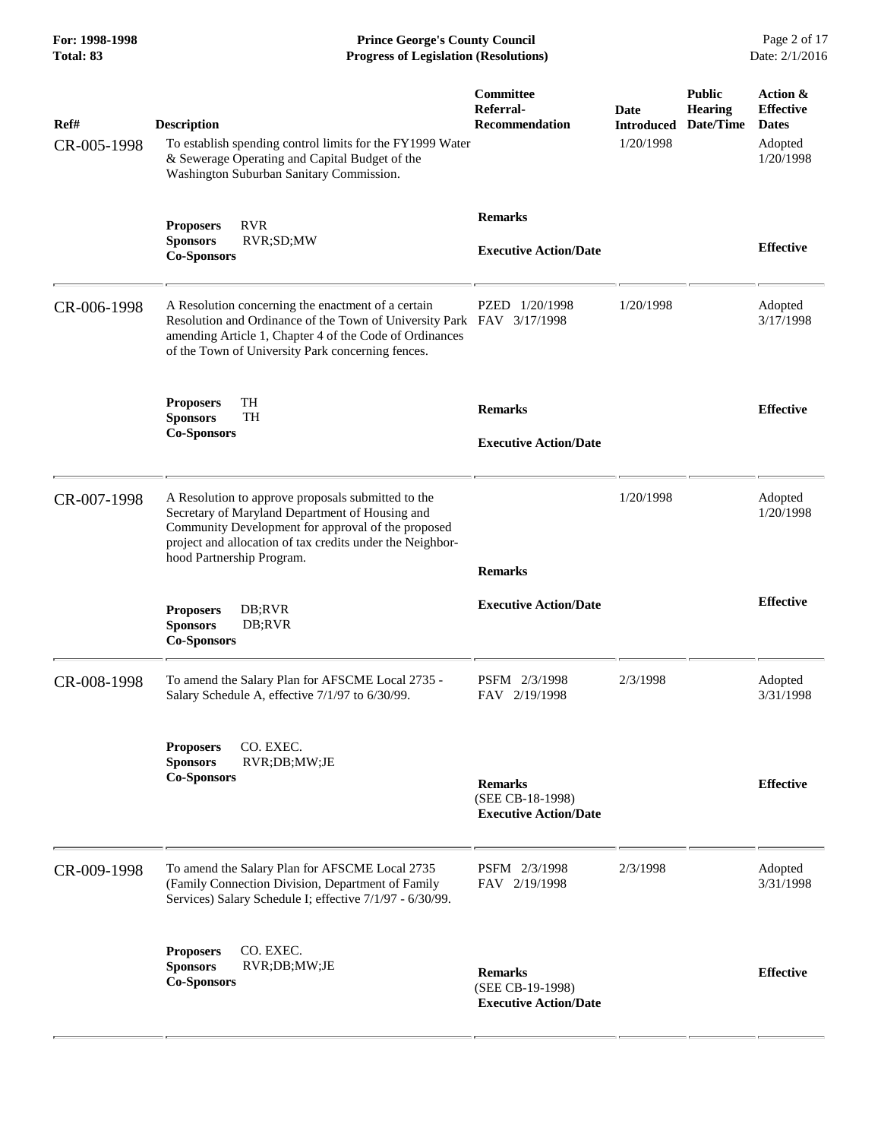**For: 1998-1998 Prince George's County Council** Page 2 of 17<br> **Prince George's County Council** Page 2 of 17<br> **Progress of Legislation (Resolutions)** Date: 2/1/2016 **Progress of Legislation (Resolutions) Progress of Legislation (Resolutions)** 

| Ref#<br>CR-005-1998 | <b>Description</b><br>To establish spending control limits for the FY1999 Water<br>& Sewerage Operating and Capital Budget of the<br>Washington Suburban Sanitary Commission.                                                                         | Committee<br>Referral-<br><b>Recommendation</b>                    | Date<br><b>Introduced</b><br>1/20/1998 | <b>Public</b><br><b>Hearing</b><br>Date/Time | Action &<br><b>Effective</b><br><b>Dates</b><br>Adopted<br>1/20/1998 |
|---------------------|-------------------------------------------------------------------------------------------------------------------------------------------------------------------------------------------------------------------------------------------------------|--------------------------------------------------------------------|----------------------------------------|----------------------------------------------|----------------------------------------------------------------------|
|                     | <b>RVR</b><br><b>Proposers</b><br>RVR;SD;MW<br><b>Sponsors</b><br><b>Co-Sponsors</b>                                                                                                                                                                  | <b>Remarks</b><br><b>Executive Action/Date</b>                     |                                        |                                              | <b>Effective</b>                                                     |
| CR-006-1998         | A Resolution concerning the enactment of a certain<br>Resolution and Ordinance of the Town of University Park FAV 3/17/1998<br>amending Article 1, Chapter 4 of the Code of Ordinances<br>of the Town of University Park concerning fences.           | PZED 1/20/1998                                                     | 1/20/1998                              |                                              | Adopted<br>3/17/1998                                                 |
|                     | TH<br><b>Proposers</b><br><b>Sponsors</b><br>TH<br><b>Co-Sponsors</b>                                                                                                                                                                                 | <b>Remarks</b><br><b>Executive Action/Date</b>                     |                                        |                                              | <b>Effective</b>                                                     |
| CR-007-1998         | A Resolution to approve proposals submitted to the<br>Secretary of Maryland Department of Housing and<br>Community Development for approval of the proposed<br>project and allocation of tax credits under the Neighbor-<br>hood Partnership Program. | <b>Remarks</b>                                                     | 1/20/1998                              |                                              | Adopted<br>1/20/1998                                                 |
|                     | DB;RVR<br><b>Proposers</b><br><b>Sponsors</b><br>DB;RVR<br><b>Co-Sponsors</b>                                                                                                                                                                         | <b>Executive Action/Date</b>                                       |                                        |                                              | <b>Effective</b>                                                     |
| CR-008-1998         | To amend the Salary Plan for AFSCME Local 2735 -<br>Salary Schedule A, effective 7/1/97 to 6/30/99.                                                                                                                                                   | PSFM 2/3/1998<br>FAV 2/19/1998                                     | 2/3/1998                               |                                              | Adopted<br>3/31/1998                                                 |
|                     | CO. EXEC.<br><b>Proposers</b><br><b>Sponsors</b><br>RVR;DB;MW;JE<br><b>Co-Sponsors</b>                                                                                                                                                                | <b>Remarks</b><br>(SEE CB-18-1998)<br><b>Executive Action/Date</b> |                                        |                                              | <b>Effective</b>                                                     |
| CR-009-1998         | To amend the Salary Plan for AFSCME Local 2735<br>(Family Connection Division, Department of Family<br>Services) Salary Schedule I; effective 7/1/97 - 6/30/99.                                                                                       | PSFM 2/3/1998<br>FAV 2/19/1998                                     | 2/3/1998                               |                                              | Adopted<br>3/31/1998                                                 |
|                     | CO. EXEC.<br><b>Proposers</b><br><b>Sponsors</b><br>RVR;DB;MW;JE<br><b>Co-Sponsors</b>                                                                                                                                                                | <b>Remarks</b><br>(SEE CB-19-1998)<br><b>Executive Action/Date</b> |                                        |                                              | <b>Effective</b>                                                     |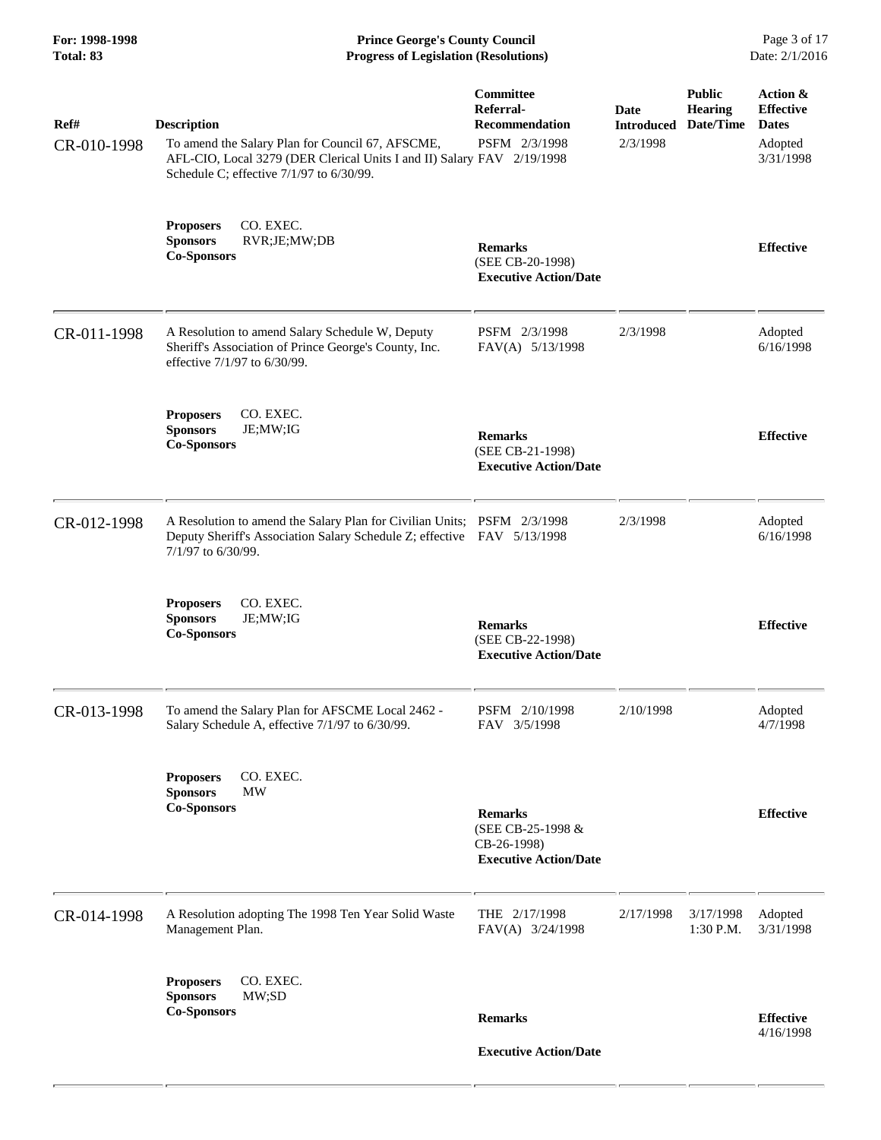**For: 1998-1998 Prince George's County Council** Page 3 of 17<br> **Prince George's County Council** Page 3 of 17<br> **Progress of Legislation (Resolutions)** Date: 2/1/2016 **Progress of Legislation (Resolutions) Progress of Legislation (Resolutions)** 

| Ref#<br>CR-010-1998 | <b>Description</b><br>To amend the Salary Plan for Council 67, AFSCME,<br>AFL-CIO, Local 3279 (DER Clerical Units I and II) Salary FAV 2/19/1998<br>Schedule C; effective 7/1/97 to 6/30/99. | Committee<br>Referral-<br><b>Recommendation</b><br>PSFM 2/3/1998                   | Date<br><b>Introduced</b><br>2/3/1998 | <b>Public</b><br><b>Hearing</b><br>Date/Time | Action &<br><b>Effective</b><br><b>Dates</b><br>Adopted<br>3/31/1998 |
|---------------------|----------------------------------------------------------------------------------------------------------------------------------------------------------------------------------------------|------------------------------------------------------------------------------------|---------------------------------------|----------------------------------------------|----------------------------------------------------------------------|
|                     | CO. EXEC.<br><b>Proposers</b><br><b>Sponsors</b><br>RVR;JE;MW;DB<br><b>Co-Sponsors</b>                                                                                                       | <b>Remarks</b><br>(SEE CB-20-1998)<br><b>Executive Action/Date</b>                 |                                       |                                              | <b>Effective</b>                                                     |
| CR-011-1998         | A Resolution to amend Salary Schedule W, Deputy<br>Sheriff's Association of Prince George's County, Inc.<br>effective 7/1/97 to 6/30/99.                                                     | PSFM 2/3/1998<br>FAV(A) 5/13/1998                                                  | 2/3/1998                              |                                              | Adopted<br>6/16/1998                                                 |
|                     | <b>Proposers</b><br>CO. EXEC.<br><b>Sponsors</b><br>JE;MW;IG<br><b>Co-Sponsors</b>                                                                                                           | <b>Remarks</b><br>(SEE CB-21-1998)<br><b>Executive Action/Date</b>                 |                                       |                                              | <b>Effective</b>                                                     |
| CR-012-1998         | A Resolution to amend the Salary Plan for Civilian Units; PSFM 2/3/1998<br>Deputy Sheriff's Association Salary Schedule Z; effective FAV 5/13/1998<br>7/1/97 to 6/30/99.                     |                                                                                    | 2/3/1998                              |                                              | Adopted<br>6/16/1998                                                 |
|                     | CO. EXEC.<br><b>Proposers</b><br><b>Sponsors</b><br>JE;MW;IG<br><b>Co-Sponsors</b>                                                                                                           | <b>Remarks</b><br>(SEE CB-22-1998)<br><b>Executive Action/Date</b>                 |                                       |                                              | <b>Effective</b>                                                     |
| CR-013-1998         | To amend the Salary Plan for AFSCME Local 2462 -<br>Salary Schedule A, effective 7/1/97 to 6/30/99.                                                                                          | PSFM 2/10/1998<br>FAV 3/5/1998                                                     | 2/10/1998                             |                                              | Adopted<br>4/7/1998                                                  |
|                     | CO. EXEC.<br><b>Proposers</b><br><b>Sponsors</b><br><b>MW</b><br><b>Co-Sponsors</b>                                                                                                          | <b>Remarks</b><br>(SEE CB-25-1998 &<br>CB-26-1998)<br><b>Executive Action/Date</b> |                                       |                                              | <b>Effective</b>                                                     |
| CR-014-1998         | A Resolution adopting The 1998 Ten Year Solid Waste<br>Management Plan.                                                                                                                      | THE 2/17/1998<br>FAV(A) 3/24/1998                                                  | 2/17/1998                             | 3/17/1998<br>1:30 P.M.                       | Adopted<br>3/31/1998                                                 |
|                     | CO. EXEC.<br><b>Proposers</b><br>MW;SD<br><b>Sponsors</b><br><b>Co-Sponsors</b>                                                                                                              | <b>Remarks</b>                                                                     |                                       |                                              | <b>Effective</b>                                                     |
|                     |                                                                                                                                                                                              | <b>Executive Action/Date</b>                                                       |                                       |                                              | 4/16/1998                                                            |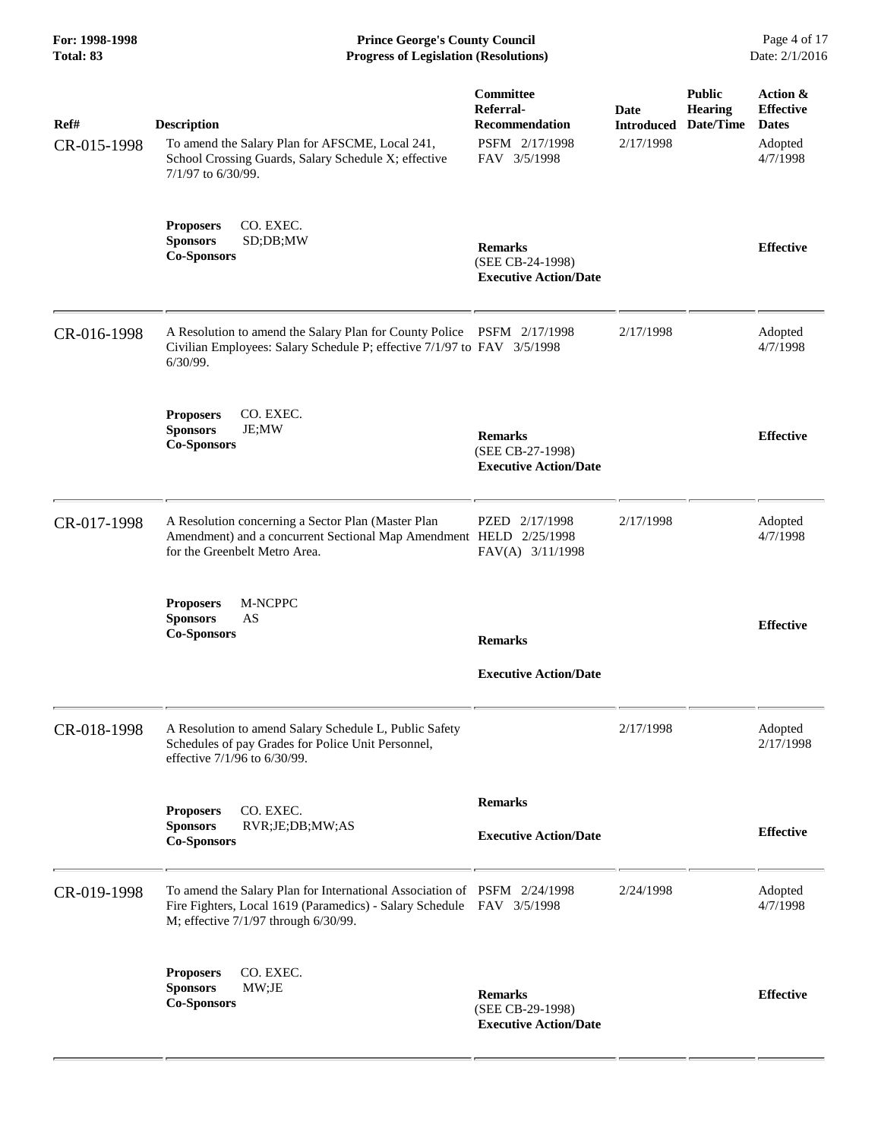**For: 1998-1998 Prince George's County Council** Page 4 of 17<br> **Prince George's County Council** Page 4 of 17<br> **Progress of Legislation (Resolutions)** Date: 2/1/2016 **Progress of Legislation (Resolutions) Progress of Legislation (Resolutions)** 

| Ref#<br>CR-015-1998 | <b>Description</b><br>To amend the Salary Plan for AFSCME, Local 241,<br>School Crossing Guards, Salary Schedule X; effective<br>7/1/97 to 6/30/99.                                       | Committee<br>Referral-<br><b>Recommendation</b><br>PSFM 2/17/1998<br>FAV 3/5/1998 | Date<br><b>Introduced</b><br>2/17/1998 | <b>Public</b><br><b>Hearing</b><br>Date/Time | Action &<br><b>Effective</b><br><b>Dates</b><br>Adopted<br>4/7/1998 |
|---------------------|-------------------------------------------------------------------------------------------------------------------------------------------------------------------------------------------|-----------------------------------------------------------------------------------|----------------------------------------|----------------------------------------------|---------------------------------------------------------------------|
|                     | <b>Proposers</b><br>CO. EXEC.<br>SD;DB;MW<br><b>Sponsors</b><br><b>Co-Sponsors</b>                                                                                                        | <b>Remarks</b><br>(SEE CB-24-1998)<br><b>Executive Action/Date</b>                |                                        |                                              | <b>Effective</b>                                                    |
| CR-016-1998         | A Resolution to amend the Salary Plan for County Police PSFM 2/17/1998<br>Civilian Employees: Salary Schedule P; effective 7/1/97 to FAV 3/5/1998<br>$6/30/99$ .                          |                                                                                   | 2/17/1998                              |                                              | Adopted<br>4/7/1998                                                 |
|                     | CO. EXEC.<br><b>Proposers</b><br><b>Sponsors</b><br>JE;MW<br><b>Co-Sponsors</b>                                                                                                           | <b>Remarks</b><br>(SEE CB-27-1998)<br><b>Executive Action/Date</b>                |                                        |                                              | <b>Effective</b>                                                    |
| CR-017-1998         | A Resolution concerning a Sector Plan (Master Plan<br>Amendment) and a concurrent Sectional Map Amendment HELD 2/25/1998<br>for the Greenbelt Metro Area.                                 | PZED 2/17/1998<br>FAV(A) 3/11/1998                                                | 2/17/1998                              |                                              | Adopted<br>4/7/1998                                                 |
|                     | M-NCPPC<br><b>Proposers</b><br><b>Sponsors</b><br>AS<br><b>Co-Sponsors</b>                                                                                                                | <b>Remarks</b><br><b>Executive Action/Date</b>                                    |                                        |                                              | <b>Effective</b>                                                    |
| CR-018-1998         | A Resolution to amend Salary Schedule L, Public Safety<br>Schedules of pay Grades for Police Unit Personnel,<br>effective 7/1/96 to 6/30/99.                                              |                                                                                   | 2/17/1998                              |                                              | Adopted<br>2/17/1998                                                |
|                     | CO. EXEC.<br><b>Proposers</b><br><b>Sponsors</b><br>RVR;JE;DB;MW;AS<br><b>Co-Sponsors</b>                                                                                                 | <b>Remarks</b><br><b>Executive Action/Date</b>                                    |                                        |                                              | <b>Effective</b>                                                    |
| CR-019-1998         | To amend the Salary Plan for International Association of PSFM 2/24/1998<br>Fire Fighters, Local 1619 (Paramedics) - Salary Schedule FAV 3/5/1998<br>M; effective 7/1/97 through 6/30/99. |                                                                                   | 2/24/1998                              |                                              | Adopted<br>4/7/1998                                                 |
|                     | CO. EXEC.<br><b>Proposers</b><br><b>Sponsors</b><br>MW;JE<br><b>Co-Sponsors</b>                                                                                                           | <b>Remarks</b><br>(SEE CB-29-1998)<br><b>Executive Action/Date</b>                |                                        |                                              | <b>Effective</b>                                                    |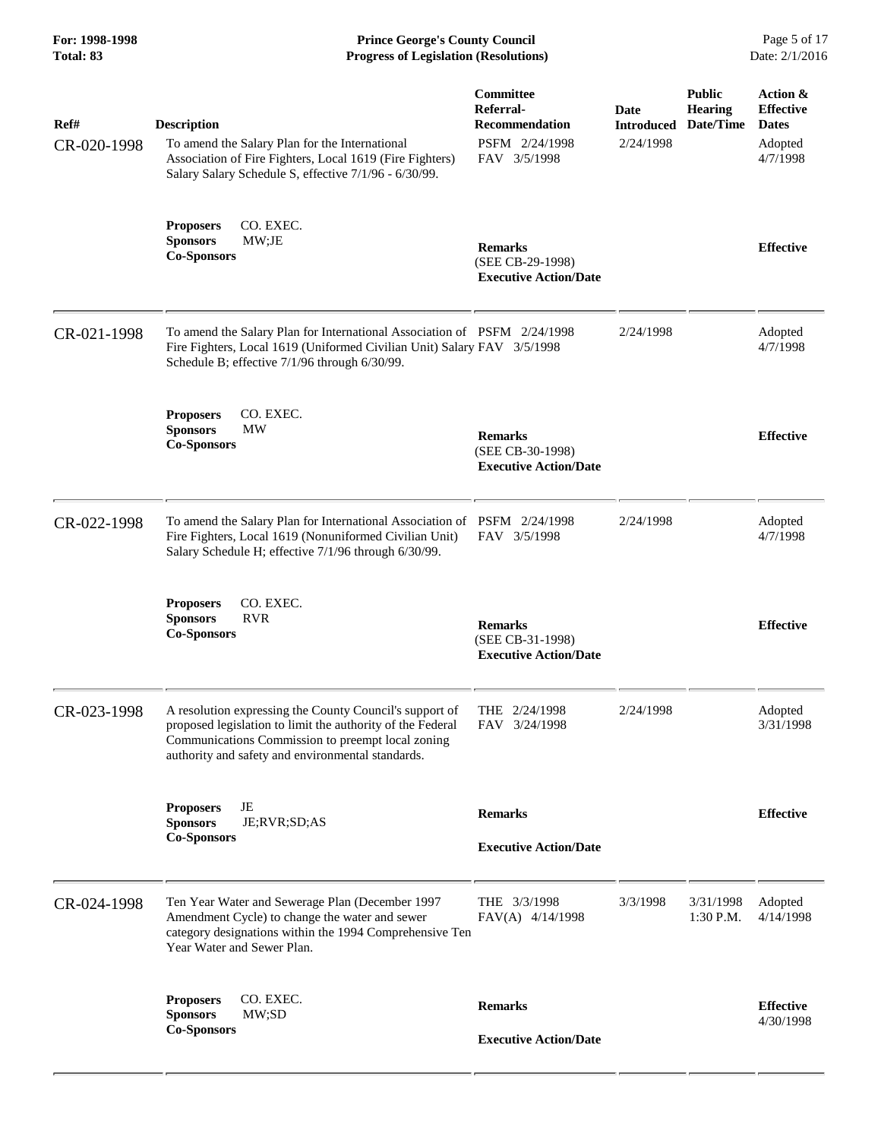**For: 1998-1998 Prince George's County Council** Page 5 of 17<br> **Prince George's County Council** Page 5 of 17<br> **Progress of Legislation (Resolutions)** Date: 2/1/2016 **Progress of Legislation (Resolutions) Progress of Legislation (Resolutions)** 

| Ref#<br>CR-020-1998 | <b>Description</b><br>To amend the Salary Plan for the International<br>Association of Fire Fighters, Local 1619 (Fire Fighters)<br>Salary Salary Schedule S, effective 7/1/96 - 6/30/99.                                       | Committee<br>Referral-<br><b>Recommendation</b><br>PSFM 2/24/1998<br>FAV 3/5/1998 | Date<br><b>Introduced</b><br>2/24/1998 | <b>Public</b><br><b>Hearing</b><br>Date/Time | Action &<br><b>Effective</b><br><b>Dates</b><br>Adopted<br>4/7/1998 |
|---------------------|---------------------------------------------------------------------------------------------------------------------------------------------------------------------------------------------------------------------------------|-----------------------------------------------------------------------------------|----------------------------------------|----------------------------------------------|---------------------------------------------------------------------|
|                     | <b>Proposers</b><br>CO. EXEC.<br><b>Sponsors</b><br>MW;JE<br><b>Co-Sponsors</b>                                                                                                                                                 | <b>Remarks</b><br>(SEE CB-29-1998)<br><b>Executive Action/Date</b>                |                                        |                                              | <b>Effective</b>                                                    |
| CR-021-1998         | To amend the Salary Plan for International Association of PSFM 2/24/1998<br>Fire Fighters, Local 1619 (Uniformed Civilian Unit) Salary FAV 3/5/1998<br>Schedule B; effective 7/1/96 through 6/30/99.                            |                                                                                   | 2/24/1998                              |                                              | Adopted<br>4/7/1998                                                 |
|                     | CO. EXEC.<br><b>Proposers</b><br><b>Sponsors</b><br><b>MW</b><br><b>Co-Sponsors</b>                                                                                                                                             | <b>Remarks</b><br>(SEE CB-30-1998)<br><b>Executive Action/Date</b>                |                                        |                                              | <b>Effective</b>                                                    |
| CR-022-1998         | To amend the Salary Plan for International Association of PSFM 2/24/1998<br>Fire Fighters, Local 1619 (Nonuniformed Civilian Unit)<br>Salary Schedule H; effective 7/1/96 through 6/30/99.                                      | FAV 3/5/1998                                                                      | 2/24/1998                              |                                              | Adopted<br>4/7/1998                                                 |
|                     | CO. EXEC.<br><b>Proposers</b><br><b>Sponsors</b><br><b>RVR</b><br><b>Co-Sponsors</b>                                                                                                                                            | <b>Remarks</b><br>(SEE CB-31-1998)<br><b>Executive Action/Date</b>                |                                        |                                              | <b>Effective</b>                                                    |
| CR-023-1998         | A resolution expressing the County Council's support of<br>proposed legislation to limit the authority of the Federal<br>Communications Commission to preempt local zoning<br>authority and safety and environmental standards. | THE $2/24/1998$<br>FAV 3/24/1998                                                  | 2/24/1998                              |                                              | Adopted<br>3/31/1998                                                |
|                     | JE<br><b>Proposers</b><br><b>Sponsors</b><br>JE;RVR;SD;AS<br><b>Co-Sponsors</b>                                                                                                                                                 | <b>Remarks</b><br><b>Executive Action/Date</b>                                    |                                        |                                              | <b>Effective</b>                                                    |
| CR-024-1998         | Ten Year Water and Sewerage Plan (December 1997<br>Amendment Cycle) to change the water and sewer<br>category designations within the 1994 Comprehensive Ten<br>Year Water and Sewer Plan.                                      | THE 3/3/1998<br>FAV(A) 4/14/1998                                                  | 3/3/1998                               | 3/31/1998<br>1:30 P.M.                       | Adopted<br>4/14/1998                                                |
|                     | <b>Proposers</b><br>CO. EXEC.<br>MW;SD<br><b>Sponsors</b><br><b>Co-Sponsors</b>                                                                                                                                                 | <b>Remarks</b><br><b>Executive Action/Date</b>                                    |                                        |                                              | <b>Effective</b><br>4/30/1998                                       |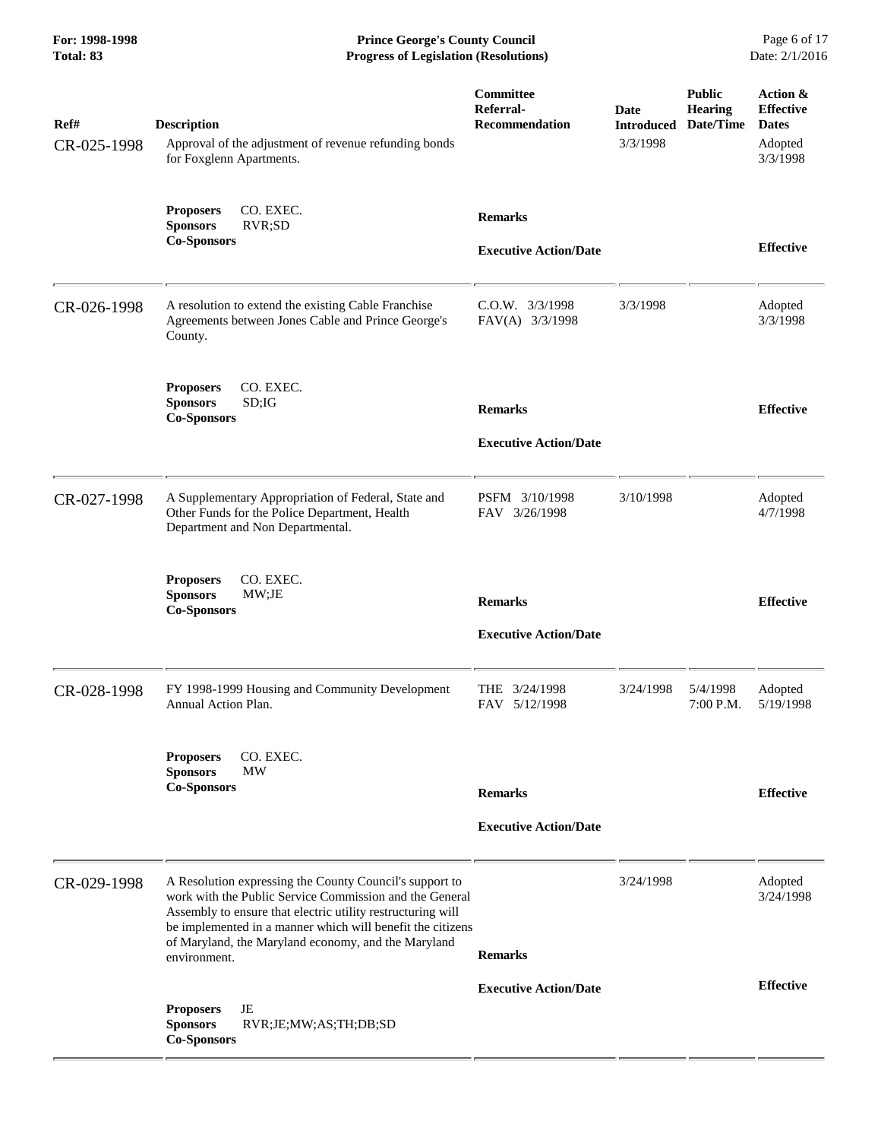**For: 1998-1998 Prince George's County Council** Page 6 of 17<br> **Prince George's County Council** Page 6 of 17<br> **Progress of Legislation (Resolutions)** Date: 2/1/2016 **Progress of Legislation (Resolutions) Progress of Legislation (Resolutions)** 

| Ref#<br>CR-025-1998 | <b>Description</b><br>Approval of the adjustment of revenue refunding bonds<br>for Foxglenn Apartments.                                                                                                                                                                                                                | Committee<br>Referral-<br><b>Recommendation</b> | <b>Date</b><br><b>Introduced</b><br>3/3/1998 | <b>Public</b><br><b>Hearing</b><br>Date/Time | Action &<br><b>Effective</b><br><b>Dates</b><br>Adopted<br>3/3/1998 |
|---------------------|------------------------------------------------------------------------------------------------------------------------------------------------------------------------------------------------------------------------------------------------------------------------------------------------------------------------|-------------------------------------------------|----------------------------------------------|----------------------------------------------|---------------------------------------------------------------------|
|                     | CO. EXEC.<br><b>Proposers</b><br><b>Sponsors</b><br>RVR;SD<br><b>Co-Sponsors</b>                                                                                                                                                                                                                                       | <b>Remarks</b><br><b>Executive Action/Date</b>  |                                              |                                              | <b>Effective</b>                                                    |
| CR-026-1998         | A resolution to extend the existing Cable Franchise<br>Agreements between Jones Cable and Prince George's<br>County.                                                                                                                                                                                                   | $C.0.W.$ $3/3/1998$<br>FAV(A) 3/3/1998          | 3/3/1998                                     |                                              | Adopted<br>3/3/1998                                                 |
|                     | <b>Proposers</b><br>CO. EXEC.<br><b>Sponsors</b><br>SD;IG<br><b>Co-Sponsors</b>                                                                                                                                                                                                                                        | <b>Remarks</b><br><b>Executive Action/Date</b>  |                                              |                                              | <b>Effective</b>                                                    |
| CR-027-1998         | A Supplementary Appropriation of Federal, State and<br>Other Funds for the Police Department, Health<br>Department and Non Departmental.                                                                                                                                                                               | PSFM 3/10/1998<br>FAV 3/26/1998                 | 3/10/1998                                    |                                              | Adopted<br>4/7/1998                                                 |
|                     | <b>Proposers</b><br>CO. EXEC.<br><b>Sponsors</b><br>MW;JE<br><b>Co-Sponsors</b>                                                                                                                                                                                                                                        | <b>Remarks</b><br><b>Executive Action/Date</b>  |                                              |                                              | <b>Effective</b>                                                    |
| CR-028-1998         | FY 1998-1999 Housing and Community Development<br>Annual Action Plan.                                                                                                                                                                                                                                                  | THE 3/24/1998<br>FAV 5/12/1998                  | 3/24/1998                                    | 5/4/1998<br>7:00 P.M.                        | Adopted<br>5/19/1998                                                |
|                     | <b>Proposers</b><br>CO. EXEC.<br><b>Sponsors</b><br>МW<br><b>Co-Sponsors</b>                                                                                                                                                                                                                                           | <b>Remarks</b><br><b>Executive Action/Date</b>  |                                              |                                              | <b>Effective</b>                                                    |
| CR-029-1998         | A Resolution expressing the County Council's support to<br>work with the Public Service Commission and the General<br>Assembly to ensure that electric utility restructuring will<br>be implemented in a manner which will benefit the citizens<br>of Maryland, the Maryland economy, and the Maryland<br>environment. | <b>Remarks</b>                                  | 3/24/1998                                    |                                              | Adopted<br>3/24/1998                                                |
|                     | JE<br><b>Proposers</b><br><b>Sponsors</b><br>RVR;JE;MW;AS;TH;DB;SD<br><b>Co-Sponsors</b>                                                                                                                                                                                                                               | <b>Executive Action/Date</b>                    |                                              |                                              | <b>Effective</b>                                                    |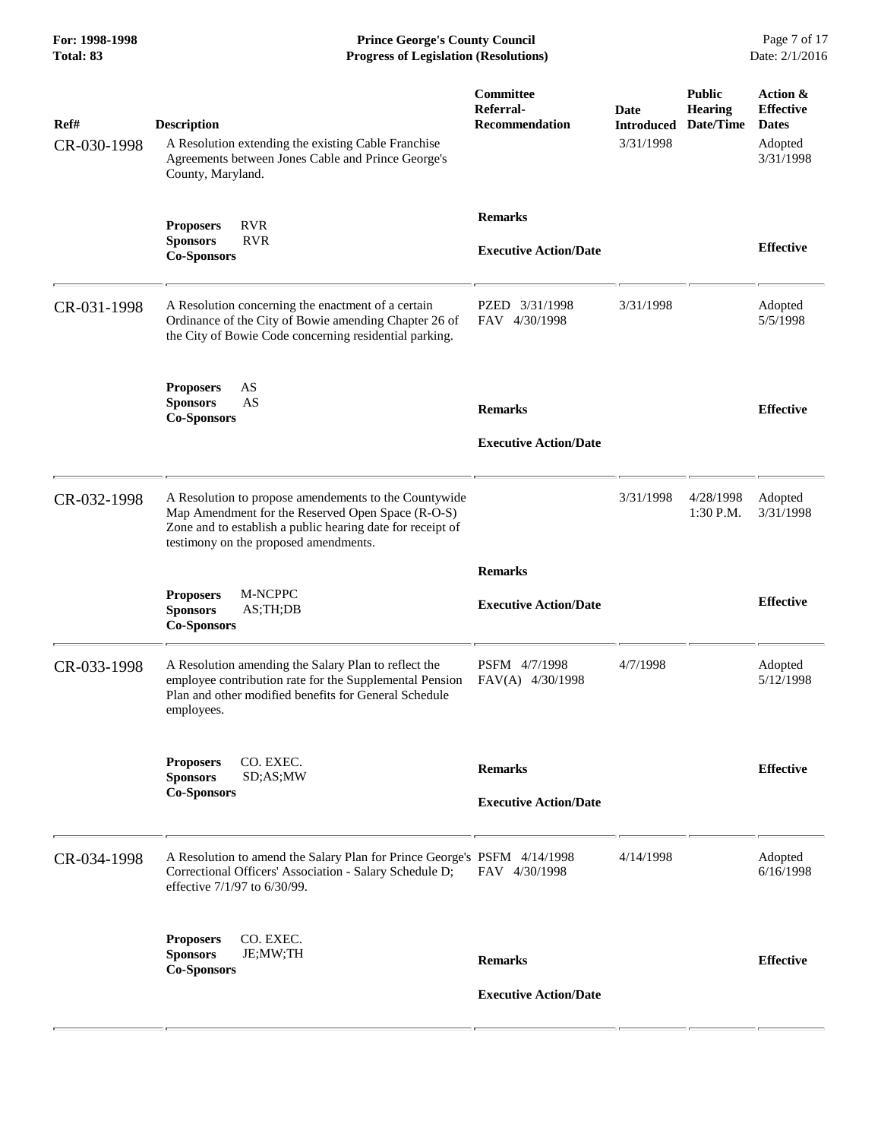**For: 1998-1998 Prince George's County Council** Page 7 of 17<br> **Prince George's County Council** Page 7 of 17<br> **Progress of Legislation (Resolutions)** Date: 2/1/2016 **Progress of Legislation (Resolutions) Progress of Legislation (Resolutions)** 

| Ref#<br>CR-030-1998 | <b>Description</b><br>A Resolution extending the existing Cable Franchise<br>Agreements between Jones Cable and Prince George's<br>County, Maryland.                                                              | Committee<br>Referral-<br>Recommendation       | Date<br><b>Introduced</b><br>3/31/1998 | <b>Public</b><br><b>Hearing</b><br>Date/Time | Action &<br><b>Effective</b><br><b>Dates</b><br>Adopted<br>3/31/1998 |
|---------------------|-------------------------------------------------------------------------------------------------------------------------------------------------------------------------------------------------------------------|------------------------------------------------|----------------------------------------|----------------------------------------------|----------------------------------------------------------------------|
|                     | <b>RVR</b><br><b>Proposers</b><br><b>RVR</b><br><b>Sponsors</b><br><b>Co-Sponsors</b>                                                                                                                             | <b>Remarks</b><br><b>Executive Action/Date</b> |                                        |                                              | <b>Effective</b>                                                     |
| CR-031-1998         | A Resolution concerning the enactment of a certain<br>Ordinance of the City of Bowie amending Chapter 26 of<br>the City of Bowie Code concerning residential parking.                                             | PZED 3/31/1998<br>FAV 4/30/1998                | 3/31/1998                              |                                              | Adopted<br>5/5/1998                                                  |
|                     | AS<br><b>Proposers</b><br><b>Sponsors</b><br>AS<br><b>Co-Sponsors</b>                                                                                                                                             | <b>Remarks</b><br><b>Executive Action/Date</b> |                                        |                                              | <b>Effective</b>                                                     |
| CR-032-1998         | A Resolution to propose amendements to the Countywide<br>Map Amendment for the Reserved Open Space (R-O-S)<br>Zone and to establish a public hearing date for receipt of<br>testimony on the proposed amendments. |                                                | 3/31/1998                              | 4/28/1998<br>1:30 P.M.                       | Adopted<br>3/31/1998                                                 |
|                     | M-NCPPC<br><b>Proposers</b><br><b>Sponsors</b><br>AS;TH;DB<br><b>Co-Sponsors</b>                                                                                                                                  | <b>Remarks</b><br><b>Executive Action/Date</b> |                                        |                                              | <b>Effective</b>                                                     |
| CR-033-1998         | A Resolution amending the Salary Plan to reflect the<br>employee contribution rate for the Supplemental Pension<br>Plan and other modified benefits for General Schedule<br>employees.                            | PSFM 4/7/1998<br>FAV(A) 4/30/1998              | 4/7/1998                               |                                              | Adopted<br>5/12/1998                                                 |
|                     | <b>Proposers</b><br>CO. EXEC.<br><b>Sponsors</b><br>SD;AS;MW<br><b>Co-Sponsors</b>                                                                                                                                | <b>Remarks</b><br><b>Executive Action/Date</b> |                                        |                                              | <b>Effective</b>                                                     |
| CR-034-1998         | A Resolution to amend the Salary Plan for Prince George's PSFM 4/14/1998<br>Correctional Officers' Association - Salary Schedule D;<br>effective 7/1/97 to 6/30/99.                                               | FAV 4/30/1998                                  | 4/14/1998                              |                                              | Adopted<br>6/16/1998                                                 |
|                     | CO. EXEC.<br><b>Proposers</b><br>JE;MW;TH<br><b>Sponsors</b><br><b>Co-Sponsors</b>                                                                                                                                | <b>Remarks</b><br><b>Executive Action/Date</b> |                                        |                                              | <b>Effective</b>                                                     |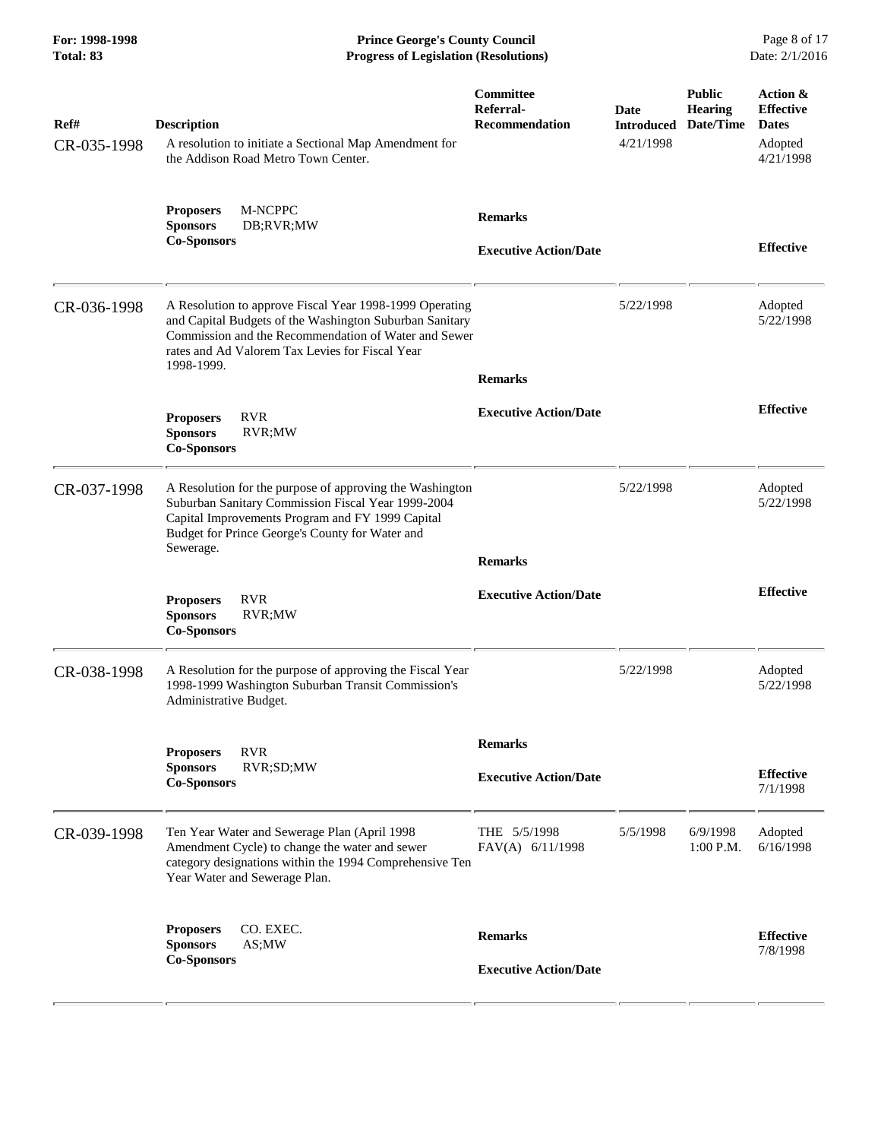**For: 1998-1998 Prince George's County Council** Page 8 of 17<br> **Prince George's County Council** Page 8 of 17<br> **Progress of Legislation (Resolutions)** Date: 2/1/2016 **Progress of Legislation (Resolutions) Progress of Legislation (Resolutions)** 

| Ref#<br>CR-035-1998 | <b>Description</b><br>A resolution to initiate a Sectional Map Amendment for<br>the Addison Road Metro Town Center.                                                                                                                         | Committee<br>Referral-<br><b>Recommendation</b> | Date<br><b>Introduced</b><br>4/21/1998 | <b>Public</b><br><b>Hearing</b><br>Date/Time | Action &<br><b>Effective</b><br><b>Dates</b><br>Adopted<br>4/21/1998 |
|---------------------|---------------------------------------------------------------------------------------------------------------------------------------------------------------------------------------------------------------------------------------------|-------------------------------------------------|----------------------------------------|----------------------------------------------|----------------------------------------------------------------------|
|                     | M-NCPPC<br><b>Proposers</b><br><b>Sponsors</b><br>DB;RVR;MW<br><b>Co-Sponsors</b>                                                                                                                                                           | <b>Remarks</b><br><b>Executive Action/Date</b>  |                                        |                                              | <b>Effective</b>                                                     |
| CR-036-1998         | A Resolution to approve Fiscal Year 1998-1999 Operating<br>and Capital Budgets of the Washington Suburban Sanitary<br>Commission and the Recommendation of Water and Sewer<br>rates and Ad Valorem Tax Levies for Fiscal Year<br>1998-1999. | <b>Remarks</b>                                  | 5/22/1998                              |                                              | Adopted<br>5/22/1998                                                 |
|                     | <b>RVR</b><br><b>Proposers</b><br><b>Sponsors</b><br>RVR;MW<br><b>Co-Sponsors</b>                                                                                                                                                           | <b>Executive Action/Date</b>                    |                                        |                                              | <b>Effective</b>                                                     |
| CR-037-1998         | A Resolution for the purpose of approving the Washington<br>Suburban Sanitary Commission Fiscal Year 1999-2004<br>Capital Improvements Program and FY 1999 Capital<br>Budget for Prince George's County for Water and<br>Sewerage.          | <b>Remarks</b>                                  | 5/22/1998                              |                                              | Adopted<br>5/22/1998                                                 |
|                     | <b>RVR</b><br><b>Proposers</b><br><b>Sponsors</b><br>RVR;MW<br><b>Co-Sponsors</b>                                                                                                                                                           | <b>Executive Action/Date</b>                    |                                        |                                              | <b>Effective</b>                                                     |
| CR-038-1998         | A Resolution for the purpose of approving the Fiscal Year<br>1998-1999 Washington Suburban Transit Commission's<br>Administrative Budget.                                                                                                   |                                                 | 5/22/1998                              |                                              | Adopted<br>5/22/1998                                                 |
|                     | <b>Proposers</b><br><b>RVR</b><br>RVR;SD;MW<br><b>Sponsors</b><br><b>Co-Sponsors</b>                                                                                                                                                        | <b>Remarks</b><br><b>Executive Action/Date</b>  |                                        |                                              | <b>Effective</b><br>7/1/1998                                         |
| CR-039-1998         | Ten Year Water and Sewerage Plan (April 1998<br>Amendment Cycle) to change the water and sewer<br>category designations within the 1994 Comprehensive Ten<br>Year Water and Sewerage Plan.                                                  | THE 5/5/1998<br>FAV(A) 6/11/1998                | 5/5/1998                               | 6/9/1998<br>$1:00$ P.M.                      | Adopted<br>6/16/1998                                                 |
|                     | <b>Proposers</b><br>CO. EXEC.<br>AS;MW<br><b>Sponsors</b><br><b>Co-Sponsors</b>                                                                                                                                                             | <b>Remarks</b><br><b>Executive Action/Date</b>  |                                        |                                              | <b>Effective</b><br>7/8/1998                                         |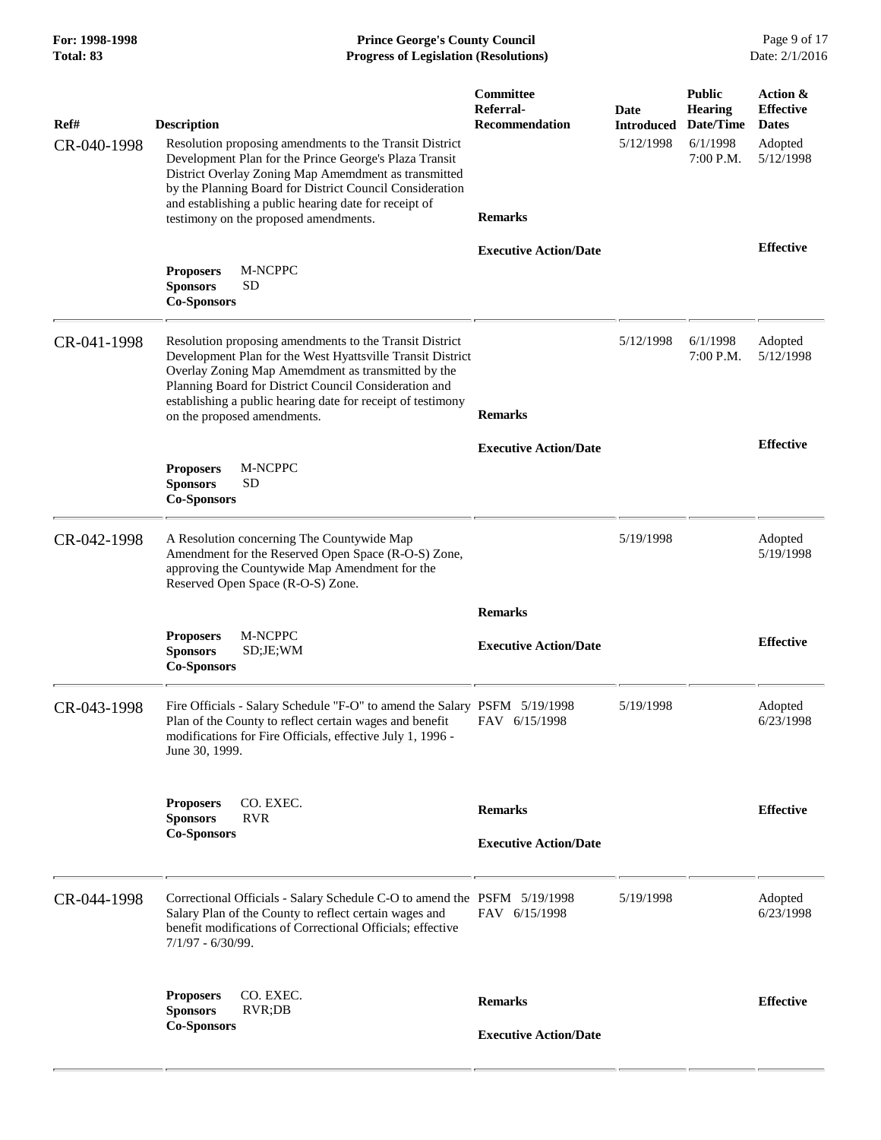| For: 1998-1998<br>Total: 83 | <b>Prince George's County Council</b><br><b>Progress of Legislation (Resolutions)</b>                                                                                                                                                                                                                                                                         |                                                                   |                                        |                                                                       | Page 9 of 17<br>Date: 2/1/2016                                       |
|-----------------------------|---------------------------------------------------------------------------------------------------------------------------------------------------------------------------------------------------------------------------------------------------------------------------------------------------------------------------------------------------------------|-------------------------------------------------------------------|----------------------------------------|-----------------------------------------------------------------------|----------------------------------------------------------------------|
| Ref#<br>CR-040-1998         | <b>Description</b><br>Resolution proposing amendments to the Transit District<br>Development Plan for the Prince George's Plaza Transit<br>District Overlay Zoning Map Amemdment as transmitted<br>by the Planning Board for District Council Consideration<br>and establishing a public hearing date for receipt of<br>testimony on the proposed amendments. | Committee<br>Referral-<br><b>Recommendation</b><br><b>Remarks</b> | Date<br><b>Introduced</b><br>5/12/1998 | <b>Public</b><br><b>Hearing</b><br>Date/Time<br>6/1/1998<br>7:00 P.M. | Action &<br><b>Effective</b><br><b>Dates</b><br>Adopted<br>5/12/1998 |
|                             | M-NCPPC<br><b>Proposers</b><br><b>Sponsors</b><br><b>SD</b><br><b>Co-Sponsors</b>                                                                                                                                                                                                                                                                             | <b>Executive Action/Date</b>                                      |                                        |                                                                       | <b>Effective</b>                                                     |
| CR-041-1998                 | Resolution proposing amendments to the Transit District<br>Development Plan for the West Hyattsville Transit District<br>Overlay Zoning Map Amemdment as transmitted by the<br>Planning Board for District Council Consideration and<br>establishing a public hearing date for receipt of testimony<br>on the proposed amendments.                            | <b>Remarks</b>                                                    | 5/12/1998                              | 6/1/1998<br>7:00 P.M.                                                 | Adopted<br>5/12/1998                                                 |
|                             | <b>Proposers</b><br>M-NCPPC<br><b>SD</b><br><b>Sponsors</b><br><b>Co-Sponsors</b>                                                                                                                                                                                                                                                                             | <b>Executive Action/Date</b>                                      |                                        |                                                                       | <b>Effective</b>                                                     |
| CR-042-1998                 | A Resolution concerning The Countywide Map<br>Amendment for the Reserved Open Space (R-O-S) Zone,<br>approving the Countywide Map Amendment for the<br>Reserved Open Space (R-O-S) Zone.                                                                                                                                                                      |                                                                   | 5/19/1998                              |                                                                       | Adopted<br>5/19/1998                                                 |
|                             | <b>Proposers</b><br>M-NCPPC<br>SD;JE; WM<br><b>Sponsors</b><br><b>Co-Sponsors</b>                                                                                                                                                                                                                                                                             | <b>Remarks</b><br><b>Executive Action/Date</b>                    |                                        |                                                                       | <b>Effective</b>                                                     |
| CR-043-1998                 | Fire Officials - Salary Schedule "F-O" to amend the Salary PSFM 5/19/1998<br>Plan of the County to reflect certain wages and benefit<br>modifications for Fire Officials, effective July 1, 1996 -<br>June 30, 1999.                                                                                                                                          | FAV 6/15/1998                                                     | 5/19/1998                              |                                                                       | Adopted<br>6/23/1998                                                 |
|                             | CO. EXEC.<br><b>Proposers</b><br><b>Sponsors</b><br><b>RVR</b><br><b>Co-Sponsors</b>                                                                                                                                                                                                                                                                          | <b>Remarks</b><br><b>Executive Action/Date</b>                    |                                        |                                                                       | <b>Effective</b>                                                     |
| CR-044-1998                 | Correctional Officials - Salary Schedule C-O to amend the PSFM 5/19/1998<br>Salary Plan of the County to reflect certain wages and<br>benefit modifications of Correctional Officials; effective<br>$7/1/97 - 6/30/99$ .                                                                                                                                      | FAV 6/15/1998                                                     | 5/19/1998                              |                                                                       | Adopted<br>6/23/1998                                                 |
|                             | CO. EXEC.<br><b>Proposers</b><br>RVR;DB<br><b>Sponsors</b><br><b>Co-Sponsors</b>                                                                                                                                                                                                                                                                              | <b>Remarks</b><br><b>Executive Action/Date</b>                    |                                        |                                                                       | <b>Effective</b>                                                     |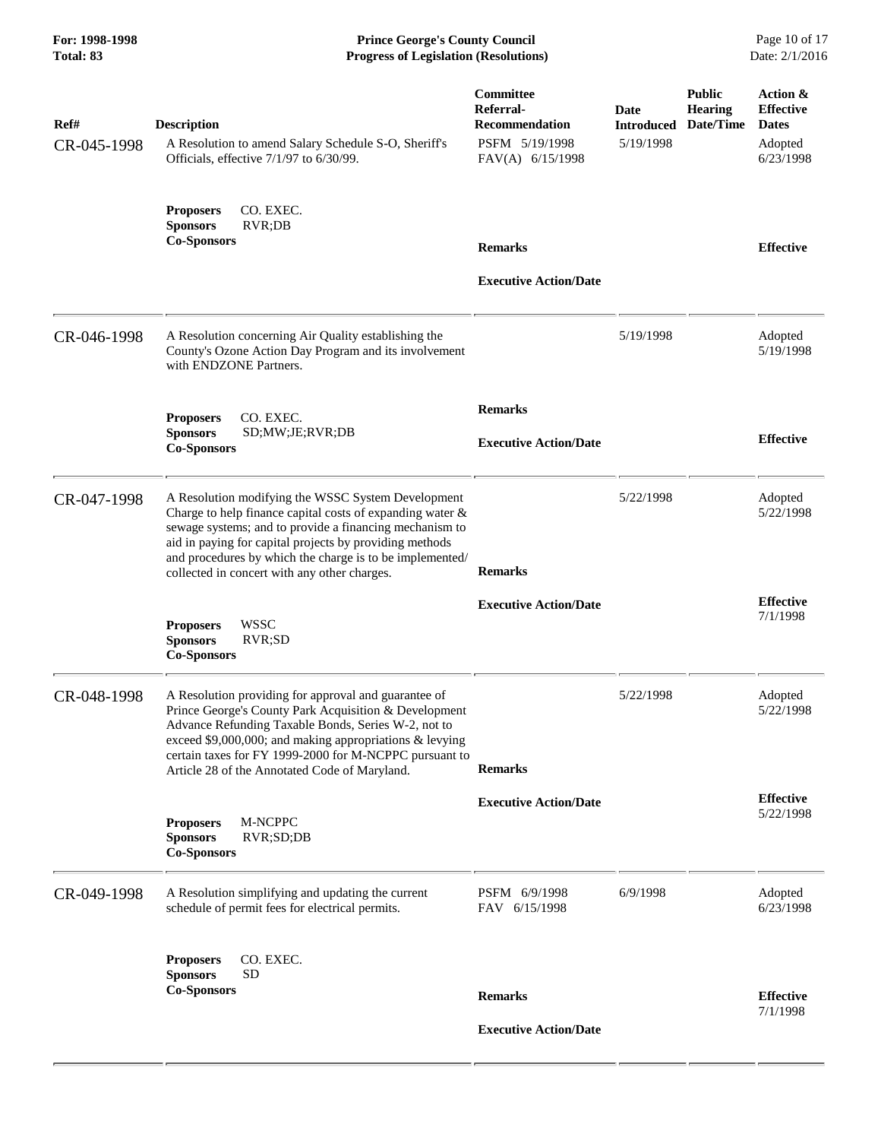**For: 1998-1998 Prince George's County Council** Page 10 of 17<br> **Prince George's County Council** Page 10 of 17<br> **Progress of Legislation (Resolutions)** Date: 2/1/2016 **Progress of Legislation (Resolutions) Progress of Legislation (Resolutions)** 

| Ref#<br>CR-045-1998 | <b>Description</b><br>A Resolution to amend Salary Schedule S-O, Sheriff's<br>Officials, effective 7/1/97 to 6/30/99.                                                                                                                                                                                                                             | Committee<br>Referral-<br><b>Recommendation</b><br>PSFM 5/19/1998<br>FAV(A) 6/15/1998 | Date<br><b>Introduced</b><br>5/19/1998 | <b>Public</b><br><b>Hearing</b><br>Date/Time | Action &<br><b>Effective</b><br><b>Dates</b><br>Adopted<br>6/23/1998 |
|---------------------|---------------------------------------------------------------------------------------------------------------------------------------------------------------------------------------------------------------------------------------------------------------------------------------------------------------------------------------------------|---------------------------------------------------------------------------------------|----------------------------------------|----------------------------------------------|----------------------------------------------------------------------|
|                     | CO. EXEC.<br><b>Proposers</b><br><b>Sponsors</b><br>RVR;DB<br><b>Co-Sponsors</b>                                                                                                                                                                                                                                                                  | <b>Remarks</b>                                                                        |                                        |                                              | <b>Effective</b>                                                     |
|                     |                                                                                                                                                                                                                                                                                                                                                   | <b>Executive Action/Date</b>                                                          |                                        |                                              |                                                                      |
| CR-046-1998         | A Resolution concerning Air Quality establishing the<br>County's Ozone Action Day Program and its involvement<br>with ENDZONE Partners.                                                                                                                                                                                                           |                                                                                       | 5/19/1998                              |                                              | Adopted<br>5/19/1998                                                 |
|                     | CO. EXEC.<br><b>Proposers</b><br><b>Sponsors</b><br>SD;MW;JE;RVR;DB<br><b>Co-Sponsors</b>                                                                                                                                                                                                                                                         | <b>Remarks</b><br><b>Executive Action/Date</b>                                        |                                        |                                              | <b>Effective</b>                                                     |
| CR-047-1998         | A Resolution modifying the WSSC System Development<br>Charge to help finance capital costs of expanding water &<br>sewage systems; and to provide a financing mechanism to<br>aid in paying for capital projects by providing methods<br>and procedures by which the charge is to be implemented/<br>collected in concert with any other charges. | <b>Remarks</b>                                                                        | 5/22/1998                              |                                              | Adopted<br>5/22/1998                                                 |
|                     | <b>WSSC</b><br><b>Proposers</b><br><b>Sponsors</b><br>RVR;SD<br><b>Co-Sponsors</b>                                                                                                                                                                                                                                                                | <b>Executive Action/Date</b>                                                          |                                        |                                              | <b>Effective</b><br>7/1/1998                                         |
| CR-048-1998         | A Resolution providing for approval and guarantee of<br>Prince George's County Park Acquisition & Development<br>Advance Refunding Taxable Bonds, Series W-2, not to<br>exceed \$9,000,000; and making appropriations $\&$ levying<br>certain taxes for FY 1999-2000 for M-NCPPC pursuant to<br>Article 28 of the Annotated Code of Maryland.     | <b>Remarks</b>                                                                        | 5/22/1998                              |                                              | Adopted<br>5/22/1998                                                 |
|                     | M-NCPPC<br><b>Proposers</b><br><b>Sponsors</b><br>RVR;SD;DB<br><b>Co-Sponsors</b>                                                                                                                                                                                                                                                                 | <b>Executive Action/Date</b>                                                          |                                        |                                              | <b>Effective</b><br>5/22/1998                                        |
| CR-049-1998         | A Resolution simplifying and updating the current<br>schedule of permit fees for electrical permits.                                                                                                                                                                                                                                              | PSFM 6/9/1998<br>FAV 6/15/1998                                                        | 6/9/1998                               |                                              | Adopted<br>6/23/1998                                                 |
|                     | CO. EXEC.<br><b>Proposers</b><br><b>SD</b><br><b>Sponsors</b><br><b>Co-Sponsors</b>                                                                                                                                                                                                                                                               | <b>Remarks</b>                                                                        |                                        |                                              | <b>Effective</b>                                                     |
|                     |                                                                                                                                                                                                                                                                                                                                                   | <b>Executive Action/Date</b>                                                          |                                        |                                              | 7/1/1998                                                             |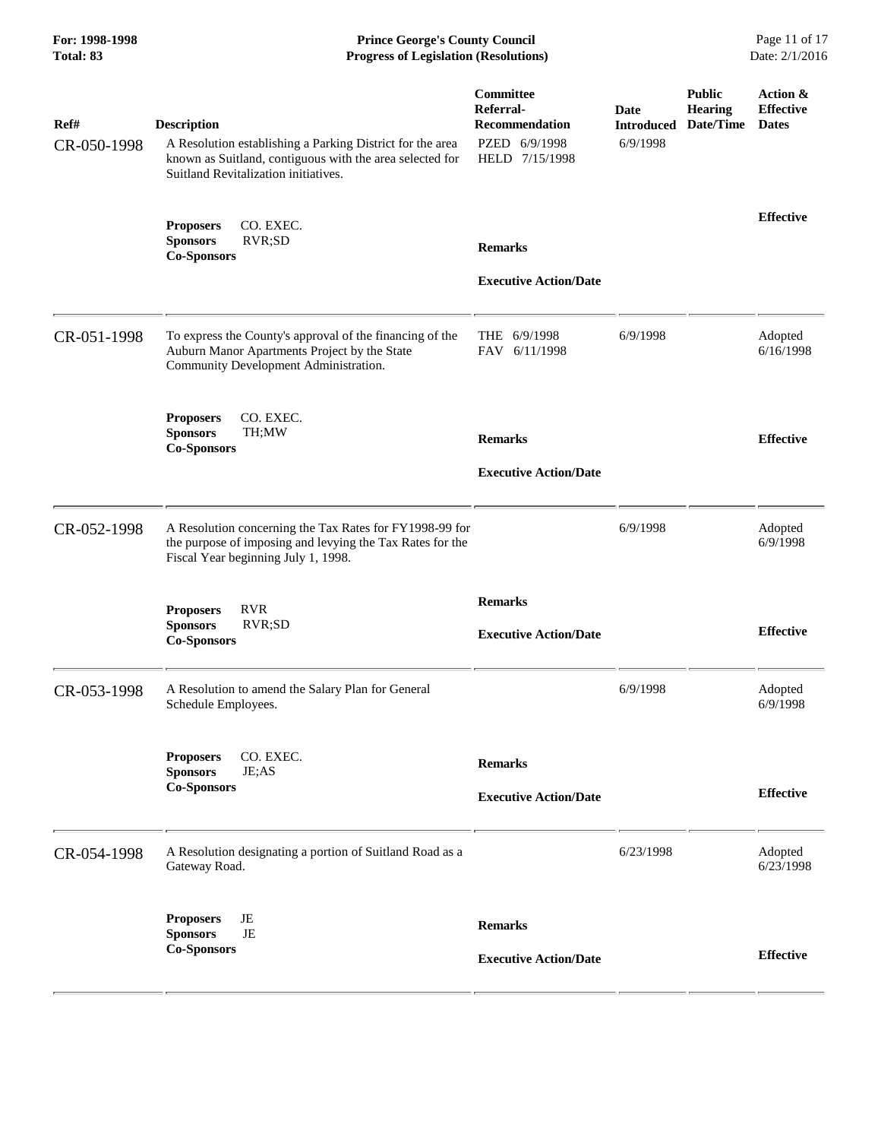**For: 1998-1998 Prince George's County Council** Page 11 of 17<br> **Prince George's County Council** Page 11 of 17<br> **Progress of Legislation (Resolutions)** Date: 2/1/2016 **Progress of Legislation (Resolutions) Progress of Legislation (Resolutions)** 

| Ref#<br>CR-050-1998 | <b>Description</b><br>A Resolution establishing a Parking District for the area<br>known as Suitland, contiguous with the area selected for<br>Suitland Revitalization initiatives. | Committee<br>Referral-<br>Recommendation<br>PZED 6/9/1998<br>HELD 7/15/1998 | Date<br><b>Introduced</b><br>6/9/1998 | <b>Public</b><br><b>Hearing</b><br>Date/Time | Action &<br><b>Effective</b><br><b>Dates</b> |
|---------------------|-------------------------------------------------------------------------------------------------------------------------------------------------------------------------------------|-----------------------------------------------------------------------------|---------------------------------------|----------------------------------------------|----------------------------------------------|
|                     | CO. EXEC.<br><b>Proposers</b><br>RVR;SD<br><b>Sponsors</b><br><b>Co-Sponsors</b>                                                                                                    | <b>Remarks</b><br><b>Executive Action/Date</b>                              |                                       |                                              | <b>Effective</b>                             |
| CR-051-1998         | To express the County's approval of the financing of the<br>Auburn Manor Apartments Project by the State<br>Community Development Administration.                                   | THE 6/9/1998<br>FAV 6/11/1998                                               | 6/9/1998                              |                                              | Adopted<br>6/16/1998                         |
|                     | CO. EXEC.<br><b>Proposers</b><br><b>Sponsors</b><br>TH;MW<br><b>Co-Sponsors</b>                                                                                                     | <b>Remarks</b><br><b>Executive Action/Date</b>                              |                                       |                                              | <b>Effective</b>                             |
| CR-052-1998         | A Resolution concerning the Tax Rates for FY1998-99 for<br>the purpose of imposing and levying the Tax Rates for the<br>Fiscal Year beginning July 1, 1998.                         |                                                                             | 6/9/1998                              |                                              | Adopted<br>6/9/1998                          |
|                     | <b>Proposers</b><br><b>RVR</b><br><b>Sponsors</b><br>RVR;SD<br><b>Co-Sponsors</b>                                                                                                   | <b>Remarks</b><br><b>Executive Action/Date</b>                              |                                       |                                              | <b>Effective</b>                             |
| CR-053-1998         | A Resolution to amend the Salary Plan for General<br>Schedule Employees.                                                                                                            |                                                                             | 6/9/1998                              |                                              | Adopted<br>6/9/1998                          |
|                     | <b>Proposers</b><br>CO. EXEC.<br><b>Sponsors</b><br>JE;AS<br><b>Co-Sponsors</b>                                                                                                     | <b>Remarks</b><br><b>Executive Action/Date</b>                              |                                       |                                              | <b>Effective</b>                             |
| CR-054-1998         | A Resolution designating a portion of Suitland Road as a<br>Gateway Road.                                                                                                           |                                                                             | 6/23/1998                             |                                              | Adopted<br>6/23/1998                         |
|                     | JE<br><b>Proposers</b><br><b>Sponsors</b><br>$\rm{JE}$<br><b>Co-Sponsors</b>                                                                                                        | <b>Remarks</b><br><b>Executive Action/Date</b>                              |                                       |                                              | <b>Effective</b>                             |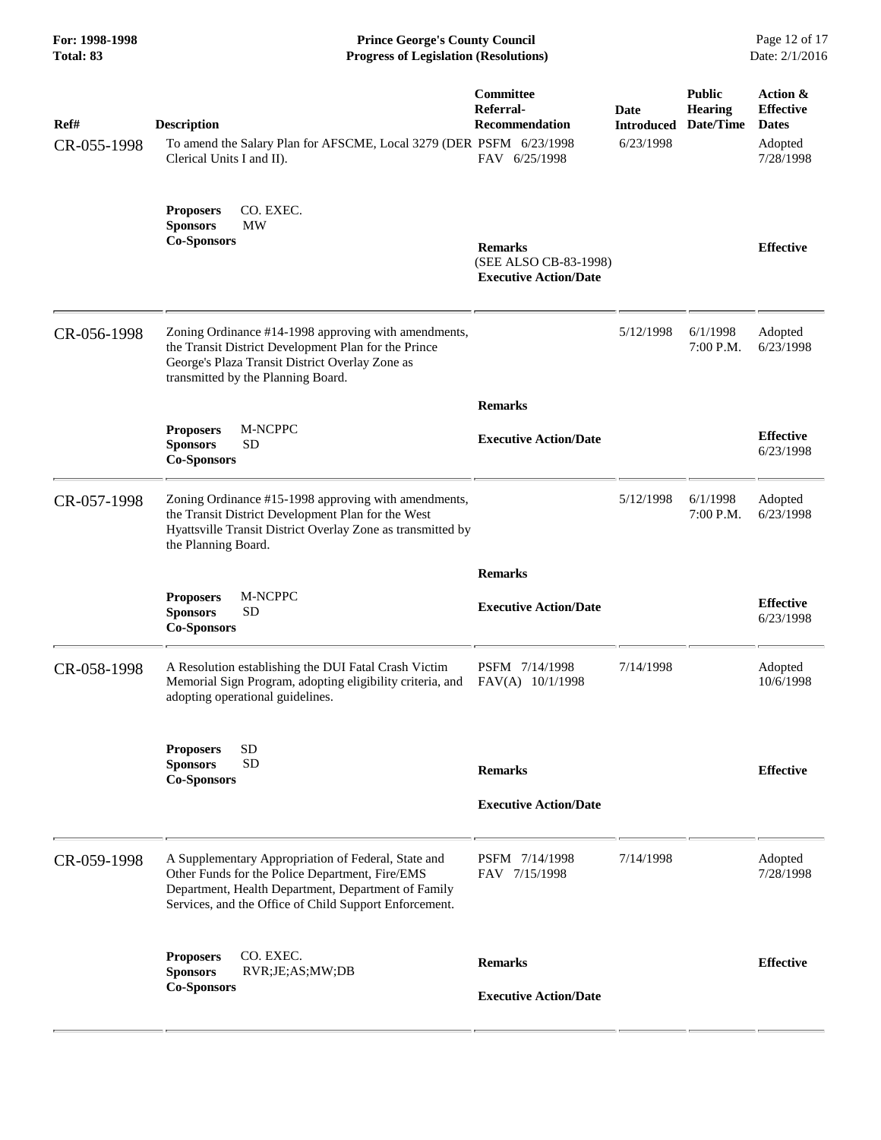**For: 1998-1998 Prince George's County Council** Page 12 of 17<br> **Prince George's County Council** Page 12 of 17<br> **Progress of Legislation (Resolutions)** Date: 2/1/2016 **Progress of Legislation (Resolutions) Progress of Legislation (Resolutions)** 

| <b>Effective</b>              |
|-------------------------------|
|                               |
| Adopted<br>6/23/1998          |
|                               |
| <b>Effective</b><br>6/23/1998 |
| Adopted<br>6/23/1998          |
|                               |
| <b>Effective</b><br>6/23/1998 |
| Adopted<br>10/6/1998          |
| <b>Effective</b>              |
|                               |
| Adopted<br>7/28/1998          |
| <b>Effective</b>              |
|                               |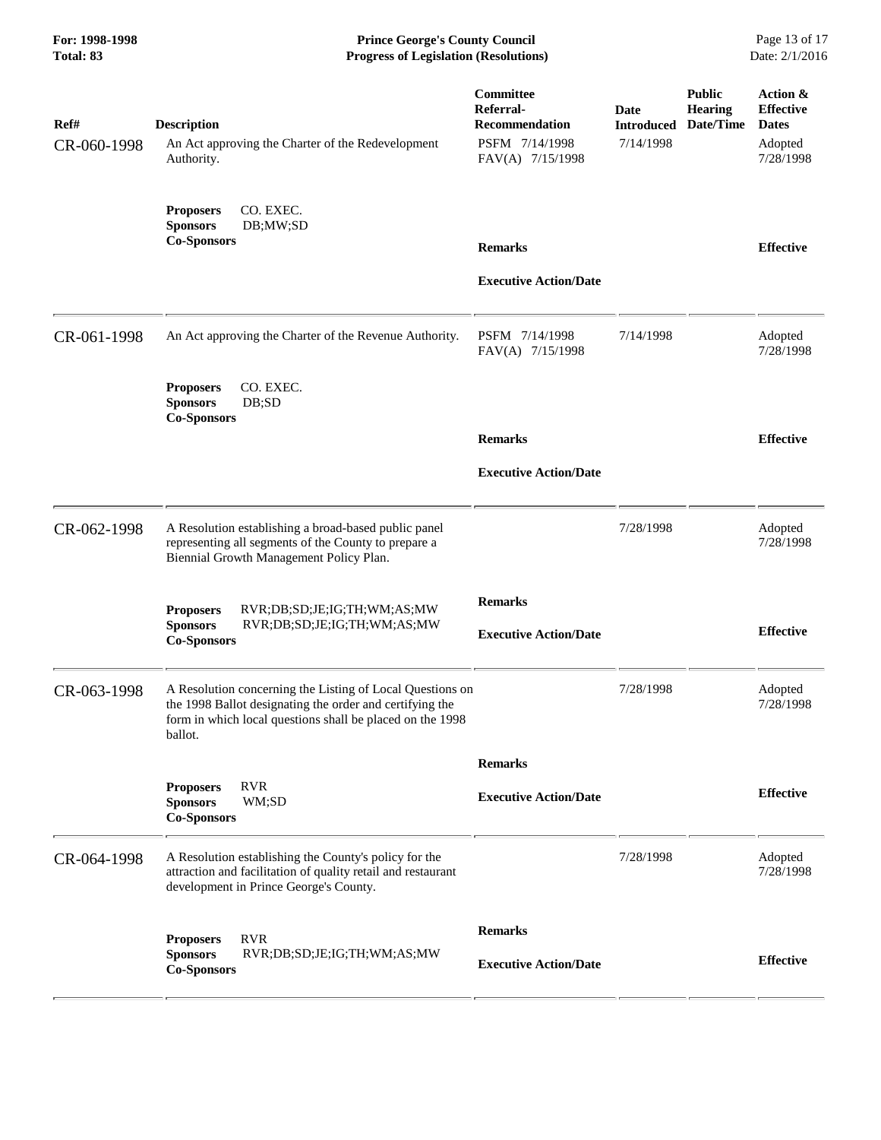**For: 1998-1998 Prince George's County Council** Page 13 of 17<br> **Prince George's County Council** Page 13 of 17<br> **Progress of Legislation (Resolutions)** Date: 2/1/2016 **Progress of Legislation (Resolutions) Progress of Legislation (Resolutions)** 

| Ref#<br>CR-060-1998 | <b>Description</b><br>An Act approving the Charter of the Redevelopment<br>Authority.                                                                                                         | Committee<br>Referral-<br><b>Recommendation</b><br>PSFM 7/14/1998<br>FAV(A) 7/15/1998 | Date<br><b>Introduced</b><br>7/14/1998 | <b>Public</b><br><b>Hearing</b><br>Date/Time | Action &<br><b>Effective</b><br><b>Dates</b><br>Adopted<br>7/28/1998 |
|---------------------|-----------------------------------------------------------------------------------------------------------------------------------------------------------------------------------------------|---------------------------------------------------------------------------------------|----------------------------------------|----------------------------------------------|----------------------------------------------------------------------|
|                     | CO. EXEC.<br><b>Proposers</b><br><b>Sponsors</b><br>DB;MW;SD<br><b>Co-Sponsors</b>                                                                                                            | <b>Remarks</b><br><b>Executive Action/Date</b>                                        |                                        |                                              | <b>Effective</b>                                                     |
| CR-061-1998         | An Act approving the Charter of the Revenue Authority.<br>CO. EXEC.<br><b>Proposers</b><br><b>Sponsors</b><br>DB;SD                                                                           | PSFM 7/14/1998<br>FAV(A) 7/15/1998                                                    | 7/14/1998                              |                                              | Adopted<br>7/28/1998                                                 |
|                     | <b>Co-Sponsors</b>                                                                                                                                                                            | <b>Remarks</b><br><b>Executive Action/Date</b>                                        |                                        |                                              | <b>Effective</b>                                                     |
| CR-062-1998         | A Resolution establishing a broad-based public panel<br>representing all segments of the County to prepare a<br>Biennial Growth Management Policy Plan.                                       |                                                                                       | 7/28/1998                              |                                              | Adopted<br>7/28/1998                                                 |
|                     | <b>Proposers</b><br>RVR;DB;SD;JE;IG;TH;WM;AS;MW<br><b>Sponsors</b><br>RVR;DB;SD;JE;IG;TH;WM;AS;MW<br><b>Co-Sponsors</b>                                                                       | <b>Remarks</b><br><b>Executive Action/Date</b>                                        |                                        |                                              | <b>Effective</b>                                                     |
| CR-063-1998         | A Resolution concerning the Listing of Local Questions on<br>the 1998 Ballot designating the order and certifying the<br>form in which local questions shall be placed on the 1998<br>ballot. |                                                                                       | 7/28/1998                              |                                              | Adopted<br>7/28/1998                                                 |
|                     | <b>RVR</b><br><b>Proposers</b><br>WM;SD<br><b>Sponsors</b><br><b>Co-Sponsors</b>                                                                                                              | <b>Remarks</b><br><b>Executive Action/Date</b>                                        |                                        |                                              | <b>Effective</b>                                                     |
| CR-064-1998         | A Resolution establishing the County's policy for the<br>attraction and facilitation of quality retail and restaurant<br>development in Prince George's County.                               |                                                                                       | 7/28/1998                              |                                              | Adopted<br>7/28/1998                                                 |
|                     | <b>RVR</b><br><b>Proposers</b><br><b>Sponsors</b><br>RVR;DB;SD;JE;IG;TH;WM;AS;MW<br><b>Co-Sponsors</b>                                                                                        | <b>Remarks</b><br><b>Executive Action/Date</b>                                        |                                        |                                              | <b>Effective</b>                                                     |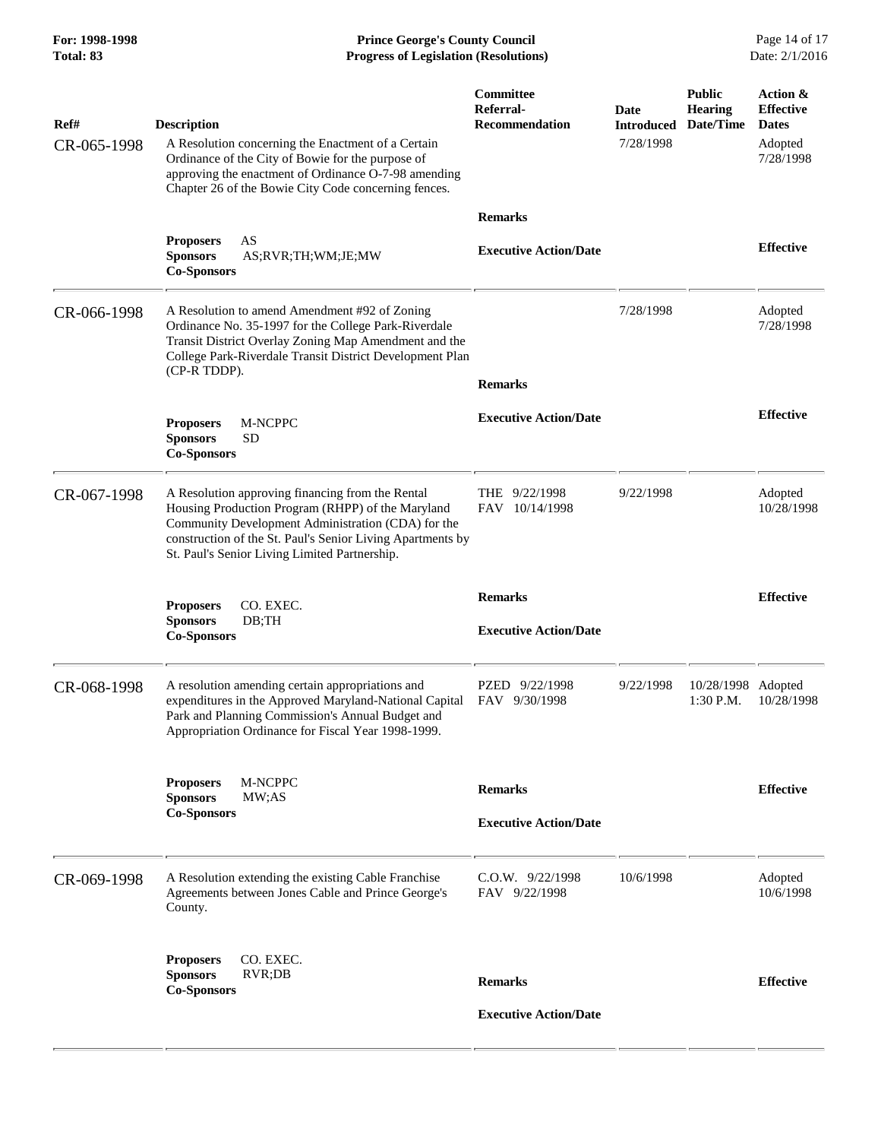**For: 1998-1998 Prince George's County Council** Page 14 of 17<br> **Prince George's County Council** Page 14 of 17<br> **Progress of Legislation (Resolutions)** Date: 2/1/2016 **Progress of Legislation (Resolutions) Progress of Legislation (Resolutions)** 

| Ref#<br>CR-065-1998 | <b>Description</b><br>A Resolution concerning the Enactment of a Certain<br>Ordinance of the City of Bowie for the purpose of<br>approving the enactment of Ordinance O-7-98 amending                                                                                      | Committee<br>Referral-<br><b>Recommendation</b> | Date<br><b>Introduced</b><br>7/28/1998 | <b>Public</b><br><b>Hearing</b><br>Date/Time | Action &<br><b>Effective</b><br><b>Dates</b><br>Adopted<br>7/28/1998 |
|---------------------|----------------------------------------------------------------------------------------------------------------------------------------------------------------------------------------------------------------------------------------------------------------------------|-------------------------------------------------|----------------------------------------|----------------------------------------------|----------------------------------------------------------------------|
|                     | Chapter 26 of the Bowie City Code concerning fences.<br>AS<br><b>Proposers</b><br><b>Sponsors</b><br>AS;RVR;TH;WM;JE;MW<br><b>Co-Sponsors</b>                                                                                                                              | <b>Remarks</b><br><b>Executive Action/Date</b>  |                                        |                                              | <b>Effective</b>                                                     |
| CR-066-1998         | A Resolution to amend Amendment #92 of Zoning<br>Ordinance No. 35-1997 for the College Park-Riverdale<br>Transit District Overlay Zoning Map Amendment and the<br>College Park-Riverdale Transit District Development Plan<br>(CP-R TDDP).                                 | <b>Remarks</b>                                  | 7/28/1998                              |                                              | Adopted<br>7/28/1998                                                 |
|                     | M-NCPPC<br><b>Proposers</b><br><b>Sponsors</b><br>SD<br><b>Co-Sponsors</b>                                                                                                                                                                                                 | <b>Executive Action/Date</b>                    |                                        |                                              | <b>Effective</b>                                                     |
| CR-067-1998         | A Resolution approving financing from the Rental<br>Housing Production Program (RHPP) of the Maryland<br>Community Development Administration (CDA) for the<br>construction of the St. Paul's Senior Living Apartments by<br>St. Paul's Senior Living Limited Partnership. | THE 9/22/1998<br>FAV 10/14/1998                 | 9/22/1998                              |                                              | Adopted<br>10/28/1998                                                |
|                     | CO. EXEC.<br><b>Proposers</b><br><b>Sponsors</b><br>DB; TH<br><b>Co-Sponsors</b>                                                                                                                                                                                           | <b>Remarks</b><br><b>Executive Action/Date</b>  |                                        |                                              | <b>Effective</b>                                                     |
| CR-068-1998         | A resolution amending certain appropriations and<br>expenditures in the Approved Maryland-National Capital<br>Park and Planning Commission's Annual Budget and<br>Appropriation Ordinance for Fiscal Year 1998-1999.                                                       | PZED 9/22/1998<br>FAV 9/30/1998                 | 9/22/1998                              | 10/28/1998 Adopted<br>1:30 P.M.              | 10/28/1998                                                           |
|                     | M-NCPPC<br><b>Proposers</b><br><b>Sponsors</b><br>MW;AS<br><b>Co-Sponsors</b>                                                                                                                                                                                              | <b>Remarks</b><br><b>Executive Action/Date</b>  |                                        |                                              | <b>Effective</b>                                                     |
| CR-069-1998         | A Resolution extending the existing Cable Franchise<br>Agreements between Jones Cable and Prince George's<br>County.                                                                                                                                                       | $C.0.W.$ 9/22/1998<br>FAV 9/22/1998             | 10/6/1998                              |                                              | Adopted<br>10/6/1998                                                 |
|                     | CO. EXEC.<br><b>Proposers</b><br><b>Sponsors</b><br>RVR;DB<br><b>Co-Sponsors</b>                                                                                                                                                                                           | <b>Remarks</b><br><b>Executive Action/Date</b>  |                                        |                                              | <b>Effective</b>                                                     |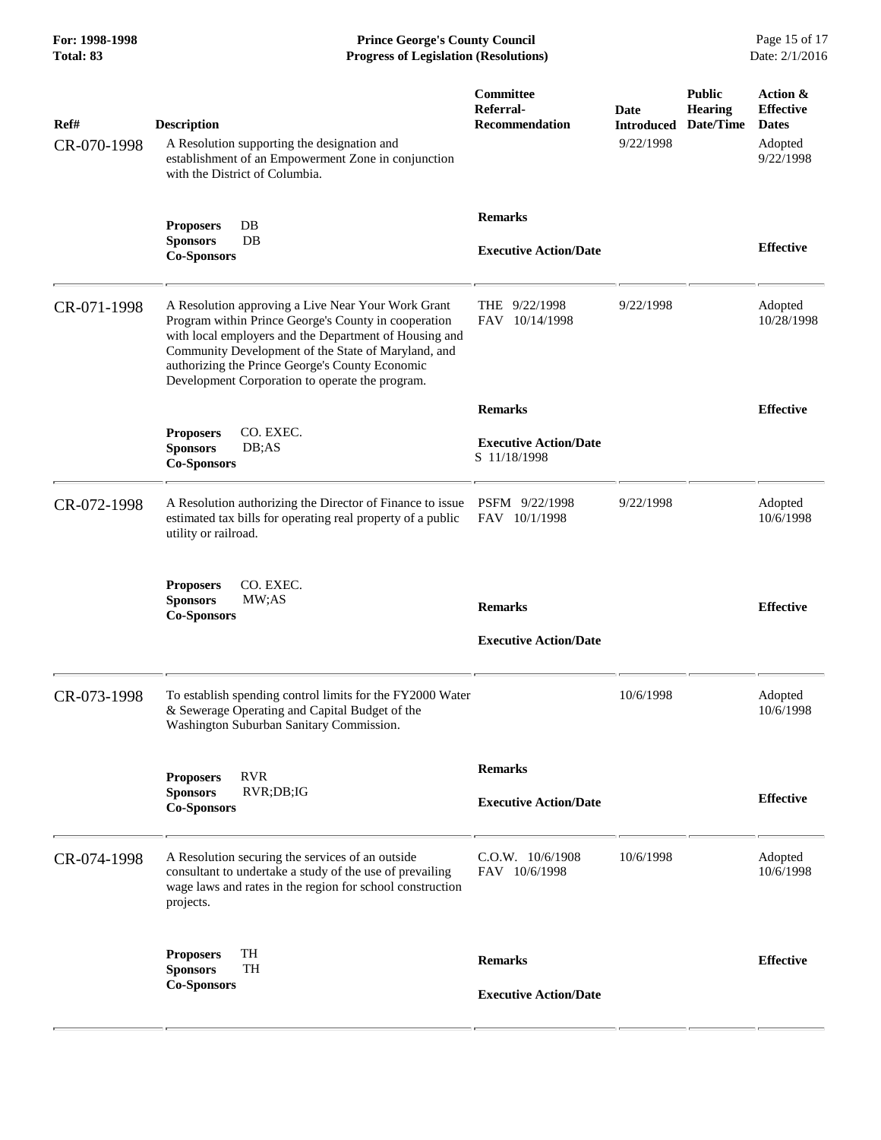**For: 1998-1998 Prince George's County Council** Page 15 of 17<br> **Prince George's County Council** Page 15 of 17<br> **Progress of Legislation (Resolutions)** Date: 2/1/2016 **Progress of Legislation (Resolutions) Progress of Legislation (Resolutions)** 

| Ref#<br>CR-070-1998 | <b>Description</b><br>A Resolution supporting the designation and<br>establishment of an Empowerment Zone in conjunction<br>with the District of Columbia.                                                                                                                                                                        | Committee<br>Referral-<br><b>Recommendation</b> | Date<br><b>Introduced</b><br>9/22/1998 | <b>Public</b><br><b>Hearing</b><br>Date/Time | Action &<br><b>Effective</b><br><b>Dates</b><br>Adopted<br>9/22/1998 |
|---------------------|-----------------------------------------------------------------------------------------------------------------------------------------------------------------------------------------------------------------------------------------------------------------------------------------------------------------------------------|-------------------------------------------------|----------------------------------------|----------------------------------------------|----------------------------------------------------------------------|
|                     | <b>Proposers</b><br>DB<br>DB<br><b>Sponsors</b><br><b>Co-Sponsors</b>                                                                                                                                                                                                                                                             | <b>Remarks</b><br><b>Executive Action/Date</b>  |                                        |                                              | <b>Effective</b>                                                     |
| CR-071-1998         | A Resolution approving a Live Near Your Work Grant<br>Program within Prince George's County in cooperation<br>with local employers and the Department of Housing and<br>Community Development of the State of Maryland, and<br>authorizing the Prince George's County Economic<br>Development Corporation to operate the program. | THE 9/22/1998<br>FAV 10/14/1998                 | 9/22/1998                              |                                              | Adopted<br>10/28/1998                                                |
|                     |                                                                                                                                                                                                                                                                                                                                   | <b>Remarks</b>                                  |                                        |                                              | <b>Effective</b>                                                     |
|                     | <b>Proposers</b><br>CO. EXEC.<br>DB;AS<br><b>Sponsors</b><br><b>Co-Sponsors</b>                                                                                                                                                                                                                                                   | <b>Executive Action/Date</b><br>S 11/18/1998    |                                        |                                              |                                                                      |
| CR-072-1998         | A Resolution authorizing the Director of Finance to issue<br>estimated tax bills for operating real property of a public<br>utility or railroad.                                                                                                                                                                                  | PSFM 9/22/1998<br>FAV 10/1/1998                 | 9/22/1998                              |                                              | Adopted<br>10/6/1998                                                 |
|                     | CO. EXEC.<br><b>Proposers</b><br><b>Sponsors</b><br>MW:AS<br><b>Co-Sponsors</b>                                                                                                                                                                                                                                                   | <b>Remarks</b><br><b>Executive Action/Date</b>  |                                        |                                              | <b>Effective</b>                                                     |
| CR-073-1998         | To establish spending control limits for the FY2000 Water<br>& Sewerage Operating and Capital Budget of the<br>Washington Suburban Sanitary Commission.                                                                                                                                                                           |                                                 | 10/6/1998                              |                                              | Adopted<br>10/6/1998                                                 |
|                     |                                                                                                                                                                                                                                                                                                                                   | <b>Remarks</b>                                  |                                        |                                              |                                                                      |
|                     | <b>RVR</b><br><b>Proposers</b><br><b>Sponsors</b><br>RVR;DB;IG<br><b>Co-Sponsors</b>                                                                                                                                                                                                                                              | <b>Executive Action/Date</b>                    |                                        |                                              | <b>Effective</b>                                                     |
| CR-074-1998         | A Resolution securing the services of an outside<br>consultant to undertake a study of the use of prevailing<br>wage laws and rates in the region for school construction<br>projects.                                                                                                                                            | $C.0.W.$ $10/6/1908$<br>FAV 10/6/1998           | 10/6/1998                              |                                              | Adopted<br>10/6/1998                                                 |
|                     | TH<br><b>Proposers</b><br><b>Sponsors</b><br><b>TH</b><br><b>Co-Sponsors</b>                                                                                                                                                                                                                                                      | <b>Remarks</b><br><b>Executive Action/Date</b>  |                                        |                                              | <b>Effective</b>                                                     |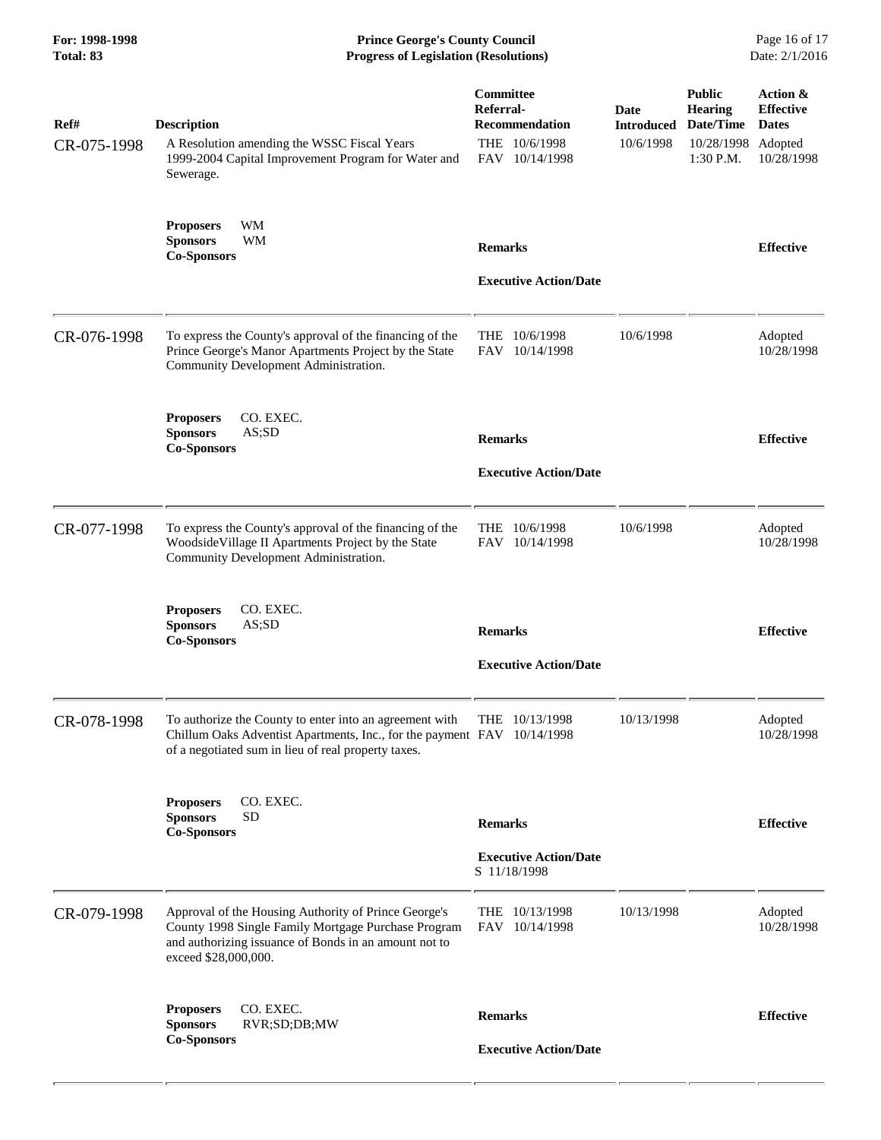**For: 1998-1998 Prince George's County Council** Page 16 of 17<br> **Prince George's County Council** Page 16 of 17<br> **Progress of Legislation (Resolutions)** Date: 2/1/2016 **Progress of Legislation (Resolutions) Progress of Legislation (Resolutions)** 

| Ref#<br>CR-075-1998 | <b>Description</b><br>A Resolution amending the WSSC Fiscal Years<br>1999-2004 Capital Improvement Program for Water and<br>Sewerage.                                                        | <b>Committee</b><br>Referral-<br><b>Recommendation</b><br>THE 10/6/1998<br>FAV 10/14/1998 | Date<br><b>Introduced</b><br>10/6/1998 | <b>Public</b><br><b>Hearing</b><br>Date/Time<br>10/28/1998<br>$1:30$ P.M. | Action &<br><b>Effective</b><br><b>Dates</b><br>Adopted<br>10/28/1998 |
|---------------------|----------------------------------------------------------------------------------------------------------------------------------------------------------------------------------------------|-------------------------------------------------------------------------------------------|----------------------------------------|---------------------------------------------------------------------------|-----------------------------------------------------------------------|
|                     | WM<br><b>Proposers</b><br><b>Sponsors</b><br>WМ<br><b>Co-Sponsors</b>                                                                                                                        | <b>Remarks</b><br><b>Executive Action/Date</b>                                            |                                        |                                                                           | <b>Effective</b>                                                      |
| CR-076-1998         | To express the County's approval of the financing of the<br>Prince George's Manor Apartments Project by the State<br>Community Development Administration.                                   | 10/6/1998<br>THE<br><b>FAV</b><br>10/14/1998                                              | 10/6/1998                              |                                                                           | Adopted<br>10/28/1998                                                 |
|                     | CO. EXEC.<br><b>Proposers</b><br><b>Sponsors</b><br>AS;SD<br><b>Co-Sponsors</b>                                                                                                              | <b>Remarks</b><br><b>Executive Action/Date</b>                                            |                                        |                                                                           | <b>Effective</b>                                                      |
| CR-077-1998         | To express the County's approval of the financing of the<br>Woodside Village II Apartments Project by the State<br>Community Development Administration.                                     | 10/6/1998<br>THE<br>FAV<br>10/14/1998                                                     | 10/6/1998                              |                                                                           | Adopted<br>10/28/1998                                                 |
|                     | <b>Proposers</b><br>CO. EXEC.<br>AS;SD<br><b>Sponsors</b><br><b>Co-Sponsors</b>                                                                                                              | <b>Remarks</b><br><b>Executive Action/Date</b>                                            |                                        |                                                                           | <b>Effective</b>                                                      |
| CR-078-1998         | To authorize the County to enter into an agreement with<br>Chillum Oaks Adventist Apartments, Inc., for the payment FAV 10/14/1998<br>of a negotiated sum in lieu of real property taxes.    | THE 10/13/1998                                                                            | 10/13/1998                             |                                                                           | Adopted<br>10/28/1998                                                 |
|                     | CO. EXEC.<br><b>Proposers</b><br><b>Sponsors</b><br><b>SD</b><br><b>Co-Sponsors</b>                                                                                                          | <b>Remarks</b><br><b>Executive Action/Date</b><br>S 11/18/1998                            |                                        |                                                                           | <b>Effective</b>                                                      |
| CR-079-1998         | Approval of the Housing Authority of Prince George's<br>County 1998 Single Family Mortgage Purchase Program<br>and authorizing issuance of Bonds in an amount not to<br>exceed \$28,000,000. | THE 10/13/1998<br>FAV 10/14/1998                                                          | 10/13/1998                             |                                                                           | Adopted<br>10/28/1998                                                 |
|                     | CO. EXEC.<br><b>Proposers</b><br><b>Sponsors</b><br>RVR;SD;DB;MW<br><b>Co-Sponsors</b>                                                                                                       | <b>Remarks</b><br><b>Executive Action/Date</b>                                            |                                        |                                                                           | <b>Effective</b>                                                      |